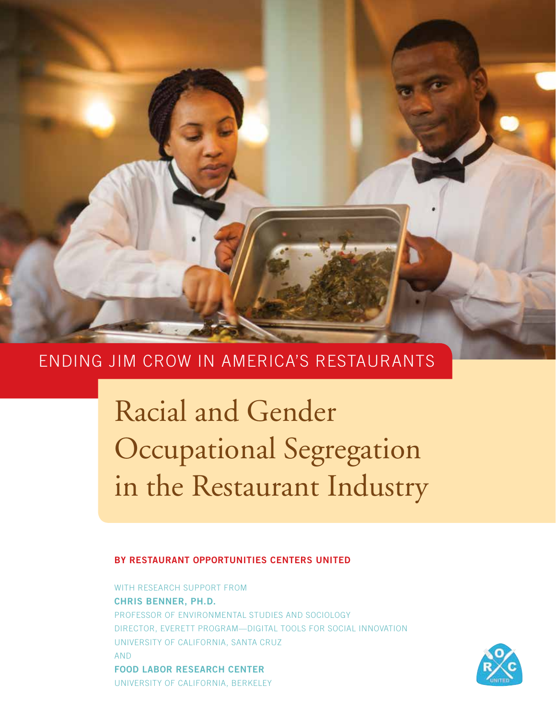

# ENDING JIM CROW IN AMERICA'S RESTAURANTS

Racial and Gender Occupational Segregation in the Restaurant Industry

## **BY RESTAURANT OPPORTUNITIES CENTERS UNITED**

WITH RESEARCH SUPPORT FROM **CHRIS BENNER, PH.D.** PROFESSOR OF ENVIRONMENTAL STUDIES AND SOCIOLOGY DIRECTOR, EVERETT PROGRAM—DIGITAL TOOLS FOR SOCIAL INNOVATION UNIVERSITY OF CALIFORNIA, SANTA CRUZ AND **FOOD LABOR RESEARCH CENTER** UNIVERSITY OF CALIFORNIA, BERKELEY

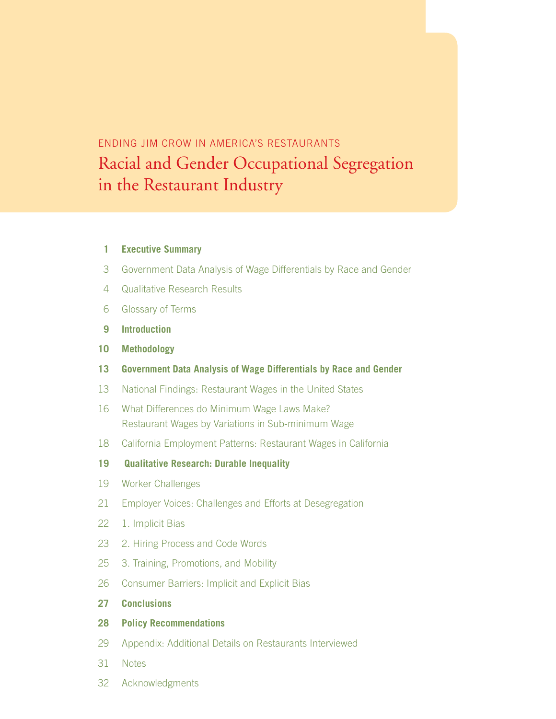#### ENDING JIM CROW IN AMERICA'S RESTAURANTS Racial and Gender Occupational Segregation urant designs de compas ENDING JIM CROW IN AMERICA'S RESTAURANTS Racial and Gender Occupational Segregation in the Restaurant Industry

#### **Executive Summary**

- Government Data Analysis of Wage Differentials by Race and Gender
- Qualitative Research Results
- Glossary of Terms
- **Introduction**
- **Methodology**
- **Government Data Analysis of Wage Differentials by Race and Gender**
- National Findings: Restaurant Wages in the United States
- 16 What Differences do Minimum Wage Laws Make? Restaurant Wages by Variations in Sub-minimum Wage
- California Employment Patterns: Restaurant Wages in California
- **19 Qualitative Research: Durable Inequality**
- Worker Challenges
- Employer Voices: Challenges and Efforts at Desegregation
- 1. Implicit Bias
- 2. Hiring Process and Code Words
- 3. Training, Promotions, and Mobility
- Consumer Barriers: Implicit and Explicit Bias
- **Conclusions**

#### **Policy Recommendations**

- Appendix: Additional Details on Restaurants Interviewed
- Notes
- Acknowledgments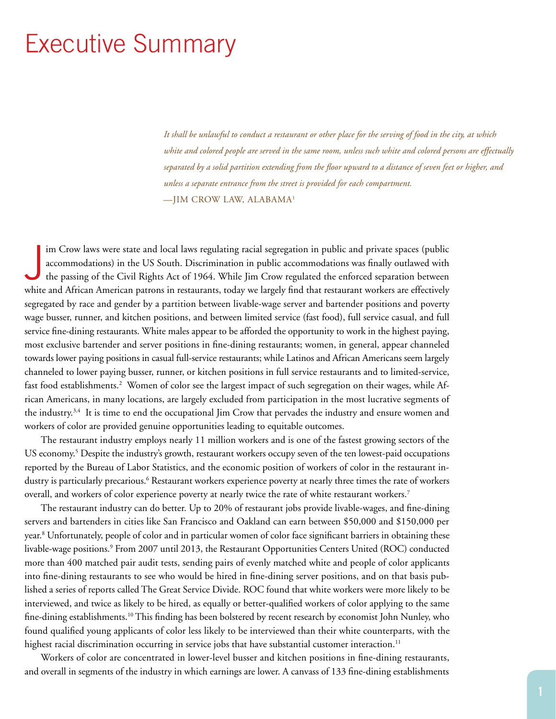# Executive Summary

*It shall be unlawful to conduct a restaurant or other place for the serving of food in the city, at which white and colored people are served in the same room, unless such white and colored persons are effectually separated by a solid partition extending from the floor upward to a distance of seven feet or higher, and unless a separate entrance from the street is provided for each compartment.* —JIM CROW LAW, ALABAMA1

J im Crow laws were state and local laws regulating racial segregation in public and private spaces (public accommodations) in the US South. Discrimination in public accommodations was finally outlawed with the passing of the Civil Rights Act of 1964. While Jim Crow regulated the enforced separation between white and African American patrons in restaurants, today we largely find that restaurant workers are effectively segregated by race and gender by a partition between livable-wage server and bartender positions and poverty wage busser, runner, and kitchen positions, and between limited service (fast food), full service casual, and full service fine-dining restaurants. White males appear to be afforded the opportunity to work in the highest paying, most exclusive bartender and server positions in fine-dining restaurants; women, in general, appear channeled towards lower paying positions in casual full-service restaurants; while Latinos and African Americans seem largely channeled to lower paying busser, runner, or kitchen positions in full service restaurants and to limited-service, fast food establishments.<sup>2</sup> Women of color see the largest impact of such segregation on their wages, while African Americans, in many locations, are largely excluded from participation in the most lucrative segments of the industry.3,4 It is time to end the occupational Jim Crow that pervades the industry and ensure women and workers of color are provided genuine opportunities leading to equitable outcomes.

The restaurant industry employs nearly 11 million workers and is one of the fastest growing sectors of the US economy.<sup>5</sup> Despite the industry's growth, restaurant workers occupy seven of the ten lowest-paid occupations reported by the Bureau of Labor Statistics, and the economic position of workers of color in the restaurant industry is particularly precarious.<sup>6</sup> Restaurant workers experience poverty at nearly three times the rate of workers overall, and workers of color experience poverty at nearly twice the rate of white restaurant workers.7

The restaurant industry can do better. Up to 20% of restaurant jobs provide livable-wages, and fine-dining servers and bartenders in cities like San Francisco and Oakland can earn between \$50,000 and \$150,000 per year.8 Unfortunately, people of color and in particular women of color face significant barriers in obtaining these livable-wage positions.<sup>9</sup> From 2007 until 2013, the Restaurant Opportunities Centers United (ROC) conducted more than 400 matched pair audit tests, sending pairs of evenly matched white and people of color applicants into fine-dining restaurants to see who would be hired in fine-dining server positions, and on that basis published a series of reports called The Great Service Divide. ROC found that white workers were more likely to be interviewed, and twice as likely to be hired, as equally or better-qualified workers of color applying to the same fine-dining establishments.10 This finding has been bolstered by recent research by economist John Nunley, who found qualified young applicants of color less likely to be interviewed than their white counterparts, with the highest racial discrimination occurring in service jobs that have substantial customer interaction.<sup>11</sup>

Workers of color are concentrated in lower-level busser and kitchen positions in fine-dining restaurants, and overall in segments of the industry in which earnings are lower. A canvass of 133 fine-dining establishments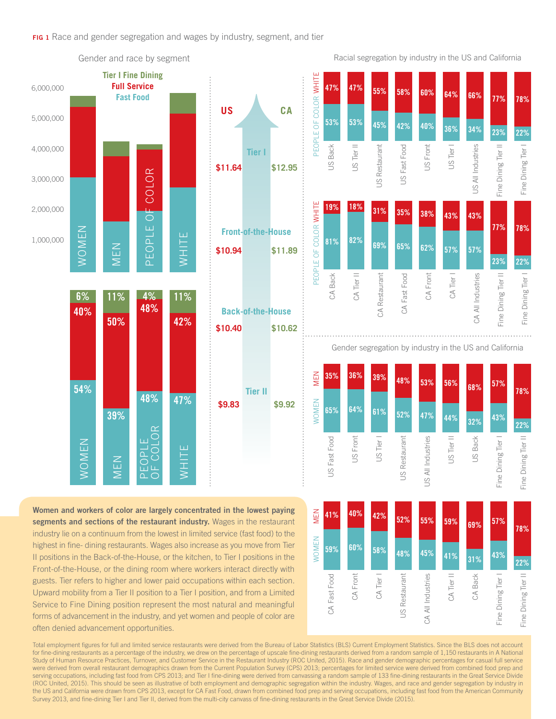

highest in fine- dining restaurants. Wages also increase as you move from Tier II positions in the Back-of-the-House, or the kitchen, to Tier I positions in the Front-of-the-House, or the dining room where workers interact directly with guests. Tier refers to higher and lower paid occupations within each section. Upward mobility from a Tier II position to a Tier I position, and from a Limited Service to Fine Dining position represent the most natural and meaningful forms of advancement in the industry, and yet women and people of color are often denied advancement opportunities.

Total employment figures for full and limited service restaurants were derived from the Bureau of Labor Statistics (BLS) Current Employment Statistics. Since the BLS does not account for fine-dining restaurants as a percentage of the industry, we drew on the percentage of upscale fine-dining restaurants derived from a random sample of 1,150 restaurants in A National Study of Human Resource Practices, Turnover, and Customer Service in the Restaurant Industry (ROC United, 2015). Race and gender demographic percentages for casual full service were derived from overall restaurant demographics drawn from the Current Population Survey (CPS) 2013; percentages for limited service were derived from combined food prep and serving occupations, including fast food from CPS 2013; and Tier I fine-dining were derived from canvassing a random sample of 133 fine-dining restaurants in the Great Service Divide (ROC United, 2015). This should be seen as illustrative of both employment and demographic segregation within the industry. Wages, and race and gender segregation by industry in the US and California were drawn from CPS 2013, except for CA Fast Food, drawn from combined food prep and serving occupations, including fast food from the American Community Survey 2013, and fine-dining Tier I and Tier II, derived from the multi-city canvass of fine-dining restaurants in the Great Service Divide (2015).

CA Fast Food

CA Fast Food

**59%**

CA Front

**60%**

CA Tier I

**58%**

US Restaurant

JS Restaurant

**48%**

CA All Industries

 $\mathfrak{S}$ 

All Industries

**45%**

CA Tier

**41%**

CA Back

**31%**

Fine Dining Tier I

Fine Dining Tier

**43%**

Fine Dining Tier II

Fine Dining Tier

**22%**

 $=$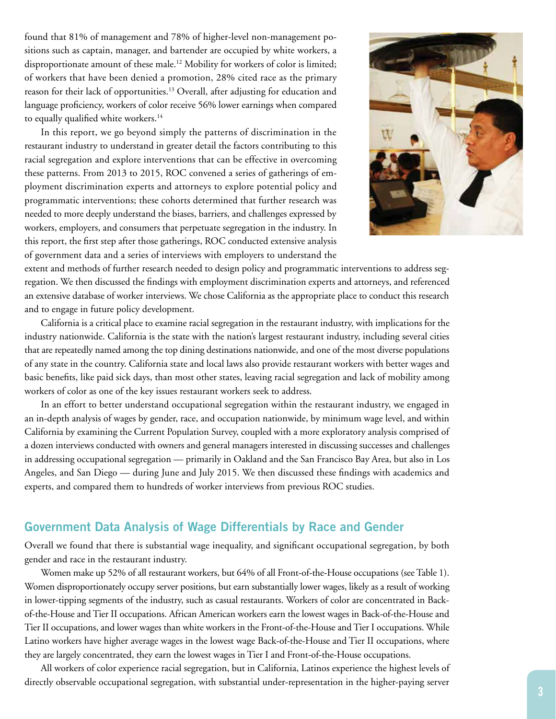found that 81% of management and 78% of higher-level non-management positions such as captain, manager, and bartender are occupied by white workers, a disproportionate amount of these male.12 Mobility for workers of color is limited; of workers that have been denied a promotion, 28% cited race as the primary reason for their lack of opportunities.<sup>13</sup> Overall, after adjusting for education and language proficiency, workers of color receive 56% lower earnings when compared to equally qualified white workers.<sup>14</sup>

In this report, we go beyond simply the patterns of discrimination in the restaurant industry to understand in greater detail the factors contributing to this racial segregation and explore interventions that can be effective in overcoming these patterns. From 2013 to 2015, ROC convened a series of gatherings of employment discrimination experts and attorneys to explore potential policy and programmatic interventions; these cohorts determined that further research was needed to more deeply understand the biases, barriers, and challenges expressed by workers, employers, and consumers that perpetuate segregation in the industry. In this report, the first step after those gatherings, ROC conducted extensive analysis of government data and a series of interviews with employers to understand the



extent and methods of further research needed to design policy and programmatic interventions to address segregation. We then discussed the findings with employment discrimination experts and attorneys, and referenced an extensive database of worker interviews. We chose California as the appropriate place to conduct this research and to engage in future policy development.

California is a critical place to examine racial segregation in the restaurant industry, with implications for the industry nationwide. California is the state with the nation's largest restaurant industry, including several cities that are repeatedly named among the top dining destinations nationwide, and one of the most diverse populations of any state in the country. California state and local laws also provide restaurant workers with better wages and basic benefits, like paid sick days, than most other states, leaving racial segregation and lack of mobility among workers of color as one of the key issues restaurant workers seek to address.

In an effort to better understand occupational segregation within the restaurant industry, we engaged in an in-depth analysis of wages by gender, race, and occupation nationwide, by minimum wage level, and within California by examining the Current Population Survey, coupled with a more exploratory analysis comprised of a dozen interviews conducted with owners and general managers interested in discussing successes and challenges in addressing occupational segregation — primarily in Oakland and the San Francisco Bay Area, but also in Los Angeles, and San Diego — during June and July 2015. We then discussed these findings with academics and experts, and compared them to hundreds of worker interviews from previous ROC studies.

## **Government Data Analysis of Wage Differentials by Race and Gender**

Overall we found that there is substantial wage inequality, and significant occupational segregation, by both gender and race in the restaurant industry.

Women make up 52% of all restaurant workers, but 64% of all Front-of-the-House occupations (see Table 1). Women disproportionately occupy server positions, but earn substantially lower wages, likely as a result of working in lower-tipping segments of the industry, such as casual restaurants. Workers of color are concentrated in Backof-the-House and Tier II occupations. African American workers earn the lowest wages in Back-of-the-House and Tier II occupations, and lower wages than white workers in the Front-of-the-House and Tier I occupations. While Latino workers have higher average wages in the lowest wage Back-of-the-House and Tier II occupations, where they are largely concentrated, they earn the lowest wages in Tier I and Front-of-the-House occupations.

All workers of color experience racial segregation, but in California, Latinos experience the highest levels of directly observable occupational segregation, with substantial under-representation in the higher-paying server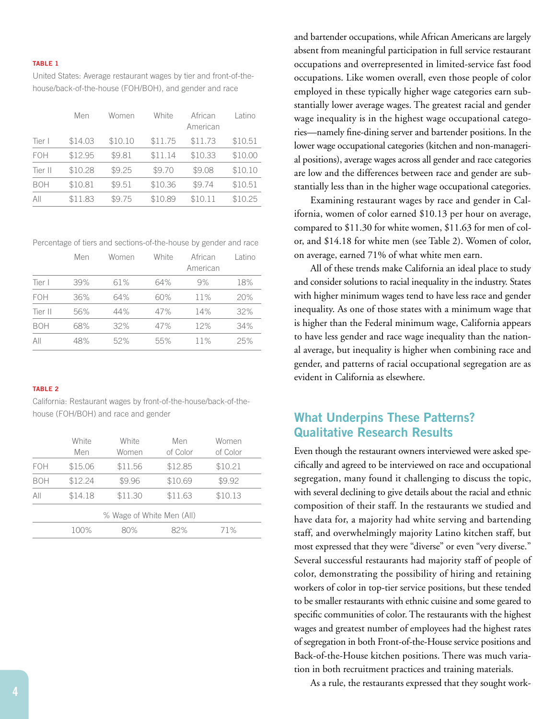#### **TABLE 1**

United States: Average restaurant wages by tier and front-of-thehouse/back-of-the-house (FOH/BOH), and gender and race

|            | Men     | Women   | White   | African<br>American | Latino  |
|------------|---------|---------|---------|---------------------|---------|
| Tier I     | \$14.03 | \$10.10 | \$11.75 | \$11.73             | \$10.51 |
| <b>FOH</b> | \$12.95 | \$9.81  | \$11.14 | \$10.33             | \$10.00 |
| Tier II    | \$10.28 | \$9.25  | \$9.70  | \$9.08              | \$10.10 |
| BOH        | \$10.81 | \$9.51  | \$10.36 | \$9.74              | \$10.51 |
| All        | \$11.83 | \$9.75  | \$10.89 | \$10.11             | \$10.25 |

Percentage of tiers and sections-of-the-house by gender and race

|            | Men | Women | White | African<br>American | Latino |
|------------|-----|-------|-------|---------------------|--------|
| Tier I     | 39% | 61%   | 64%   | 9%                  | 18%    |
| <b>FOH</b> | 36% | 64%   | 60%   | 11%                 | 20%    |
| Tier II    | 56% | 44%   | 47%   | 14%                 | 32%    |
| <b>BOH</b> | 68% | 32%   | 47%   | 12%                 | 34%    |
| All        | 48% | 52%   | 55%   | 11%                 | 25%    |

#### **TABLE 2**

California: Restaurant wages by front-of-the-house/back-of-thehouse (FOH/BOH) and race and gender

|            | White<br>Men              | White<br>Women | Men<br>of Color | Women<br>of Color |  |  |  |
|------------|---------------------------|----------------|-----------------|-------------------|--|--|--|
| <b>FOH</b> | \$15.06                   | \$11.56        | \$12.85         | \$10.21           |  |  |  |
| BOH        | \$12.24                   | \$9.96         | \$10.69         | \$9.92            |  |  |  |
| All        | \$14.18                   | \$11.30        | \$11.63         | \$10.13           |  |  |  |
|            | % Wage of White Men (All) |                |                 |                   |  |  |  |
|            | 100%                      | 80%            | 82%             | 71%               |  |  |  |

and bartender occupations, while African Americans are largely absent from meaningful participation in full service restaurant occupations and overrepresented in limited-service fast food occupations. Like women overall, even those people of color employed in these typically higher wage categories earn substantially lower average wages. The greatest racial and gender wage inequality is in the highest wage occupational categories—namely fine-dining server and bartender positions. In the lower wage occupational categories (kitchen and non-managerial positions), average wages across all gender and race categories are low and the differences between race and gender are substantially less than in the higher wage occupational categories.

Examining restaurant wages by race and gender in California, women of color earned \$10.13 per hour on average, compared to \$11.30 for white women, \$11.63 for men of color, and \$14.18 for white men (see Table 2). Women of color, on average, earned 71% of what white men earn.

All of these trends make California an ideal place to study and consider solutions to racial inequality in the industry. States with higher minimum wages tend to have less race and gender inequality. As one of those states with a minimum wage that is higher than the Federal minimum wage, California appears to have less gender and race wage inequality than the national average, but inequality is higher when combining race and gender, and patterns of racial occupational segregation are as evident in California as elsewhere.

## **What Underpins These Patterns? Qualitative Research Results**

Even though the restaurant owners interviewed were asked specifically and agreed to be interviewed on race and occupational segregation, many found it challenging to discuss the topic, with several declining to give details about the racial and ethnic composition of their staff. In the restaurants we studied and have data for, a majority had white serving and bartending staff, and overwhelmingly majority Latino kitchen staff, but most expressed that they were "diverse" or even "very diverse." Several successful restaurants had majority staff of people of color, demonstrating the possibility of hiring and retaining workers of color in top-tier service positions, but these tended to be smaller restaurants with ethnic cuisine and some geared to specific communities of color. The restaurants with the highest wages and greatest number of employees had the highest rates of segregation in both Front-of-the-House service positions and Back-of-the-House kitchen positions. There was much variation in both recruitment practices and training materials.

As a rule, the restaurants expressed that they sought work-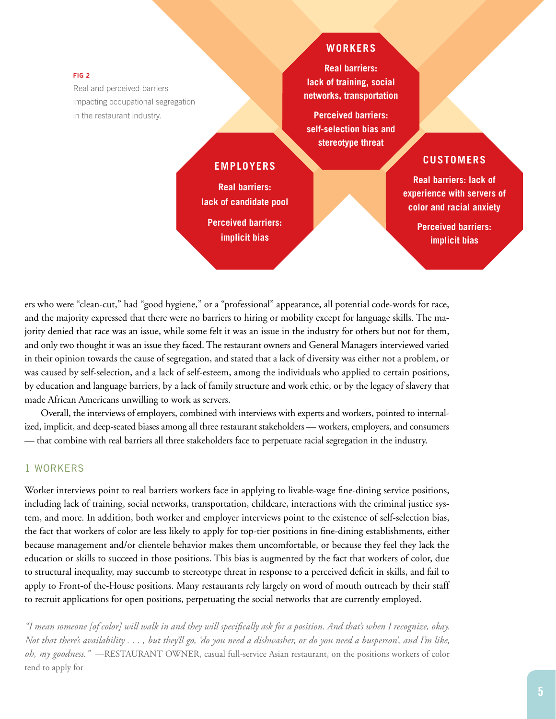#### **FIG 2**

Real and perceived barriers impacting occupational segregation in the restaurant industry.

## **WORKERS**

**Real barriers: lack of training, social networks, transportation**

**Perceived barriers: self-selection bias and stereotype threat**

## **EMPLOYERS**

**Real barriers: lack of candidate pool Perceived barriers: implicit bias**

## **CUSTOMERS**

**Real barriers: lack of experience with servers of color and racial anxiety** 

> **Perceived barriers: implicit bias**

ers who were "clean-cut," had "good hygiene," or a "professional" appearance, all potential code-words for race, and the majority expressed that there were no barriers to hiring or mobility except for language skills. The majority denied that race was an issue, while some felt it was an issue in the industry for others but not for them, and only two thought it was an issue they faced. The restaurant owners and General Managers interviewed varied in their opinion towards the cause of segregation, and stated that a lack of diversity was either not a problem, or was caused by self-selection, and a lack of self-esteem, among the individuals who applied to certain positions, by education and language barriers, by a lack of family structure and work ethic, or by the legacy of slavery that made African Americans unwilling to work as servers.

Overall, the interviews of employers, combined with interviews with experts and workers, pointed to internalized, implicit, and deep-seated biases among all three restaurant stakeholders — workers, employers, and consumers — that combine with real barriers all three stakeholders face to perpetuate racial segregation in the industry.

#### 1 WORKERS

Worker interviews point to real barriers workers face in applying to livable-wage fine-dining service positions, including lack of training, social networks, transportation, childcare, interactions with the criminal justice system, and more. In addition, both worker and employer interviews point to the existence of self-selection bias, the fact that workers of color are less likely to apply for top-tier positions in fine-dining establishments, either because management and/or clientele behavior makes them uncomfortable, or because they feel they lack the education or skills to succeed in those positions. This bias is augmented by the fact that workers of color, due to structural inequality, may succumb to stereotype threat in response to a perceived deficit in skills, and fail to apply to Front-of the-House positions. Many restaurants rely largely on word of mouth outreach by their staff to recruit applications for open positions, perpetuating the social networks that are currently employed.

*"I mean someone [of color] will walk in and they will specifically ask for a position. And that's when I recognize, okay. Not that there's availability . . . , but they'll go, 'do you need a dishwasher, or do you need a busperson', and I'm like, oh, my goodness."* —RESTAURANT OWNER, casual full-service Asian restaurant, on the positions workers of color tend to apply for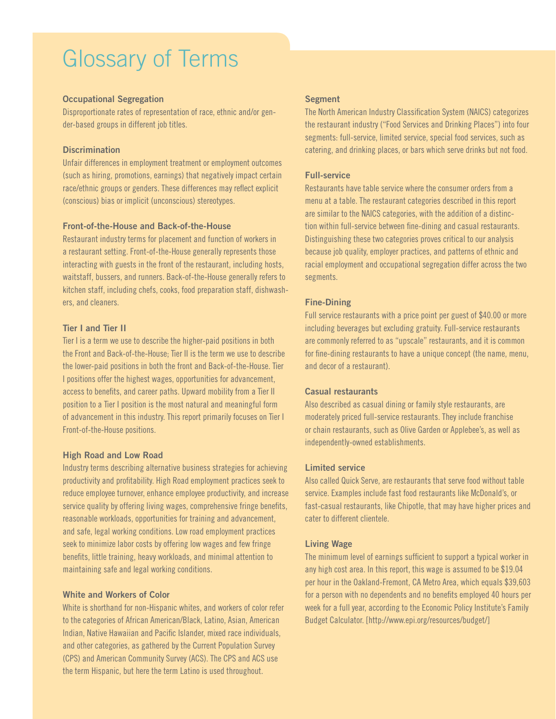# Glossary of Terms

#### **Occupational Segregation**

Disproportionate rates of representation of race, ethnic and/or gender-based groups in different job titles.

#### **Discrimination**

Unfair differences in employment treatment or employment outcomes (such as hiring, promotions, earnings) that negatively impact certain race/ethnic groups or genders. These differences may reflect explicit (conscious) bias or implicit (unconscious) stereotypes.

#### **Front-of-the-House and Back-of-the-House**

Restaurant industry terms for placement and function of workers in a restaurant setting. Front-of-the-House generally represents those interacting with guests in the front of the restaurant, including hosts, waitstaff, bussers, and runners. Back-of-the-House generally refers to kitchen staff, including chefs, cooks, food preparation staff, dishwashers, and cleaners.

#### **Tier I and Tier II**

Tier I is a term we use to describe the higher-paid positions in both the Front and Back-of-the-House; Tier II is the term we use to describe the lower-paid positions in both the front and Back-of-the-House. Tier I positions offer the highest wages, opportunities for advancement, access to benefits, and career paths. Upward mobility from a Tier II position to a Tier I position is the most natural and meaningful form of advancement in this industry. This report primarily focuses on Tier I Front-of-the-House positions.

#### **High Road and Low Road**

Industry terms describing alternative business strategies for achieving productivity and profitability. High Road employment practices seek to reduce employee turnover, enhance employee productivity, and increase service quality by offering living wages, comprehensive fringe benefits, reasonable workloads, opportunities for training and advancement, and safe, legal working conditions. Low road employment practices seek to minimize labor costs by offering low wages and few fringe benefits, little training, heavy workloads, and minimal attention to maintaining safe and legal working conditions.

#### **White and Workers of Color**

White is shorthand for non-Hispanic whites, and workers of color refer to the categories of African American/Black, Latino, Asian, American Indian, Native Hawaiian and Pacific Islander, mixed race individuals, and other categories, as gathered by the Current Population Survey (CPS) and American Community Survey (ACS). The CPS and ACS use the term Hispanic, but here the term Latino is used throughout.

#### **Segment**

The North American Industry Classification System (NAICS) categorizes the restaurant industry ("Food Services and Drinking Places") into four segments: full-service, limited service, special food services, such as catering, and drinking places, or bars which serve drinks but not food.

#### **Full-service**

Restaurants have table service where the consumer orders from a menu at a table. The restaurant categories described in this report are similar to the NAICS categories, with the addition of a distinction within full-service between fine-dining and casual restaurants. Distinguishing these two categories proves critical to our analysis because job quality, employer practices, and patterns of ethnic and racial employment and occupational segregation differ across the two segments.

#### **Fine-Dining**

Full service restaurants with a price point per guest of \$40.00 or more including beverages but excluding gratuity. Full-service restaurants are commonly referred to as "upscale" restaurants, and it is common for fine-dining restaurants to have a unique concept (the name, menu, and decor of a restaurant).

#### **Casual restaurants**

Also described as casual dining or family style restaurants, are moderately priced full-service restaurants. They include franchise or chain restaurants, such as Olive Garden or Applebee's, as well as independently-owned establishments.

#### **Limited service**

Also called Quick Serve, are restaurants that serve food without table service. Examples include fast food restaurants like McDonald's, or fast-casual restaurants, like Chipotle, that may have higher prices and cater to different clientele.

#### **Living Wage**

The minimum level of earnings sufficient to support a typical worker in any high cost area. In this report, this wage is assumed to be \$19.04 per hour in the Oakland-Fremont, CA Metro Area, which equals \$39,603 for a person with no dependents and no benefits employed 40 hours per week for a full year, according to the Economic Policy Institute's Family Budget Calculator. [http://www.epi.org/resources/budget/]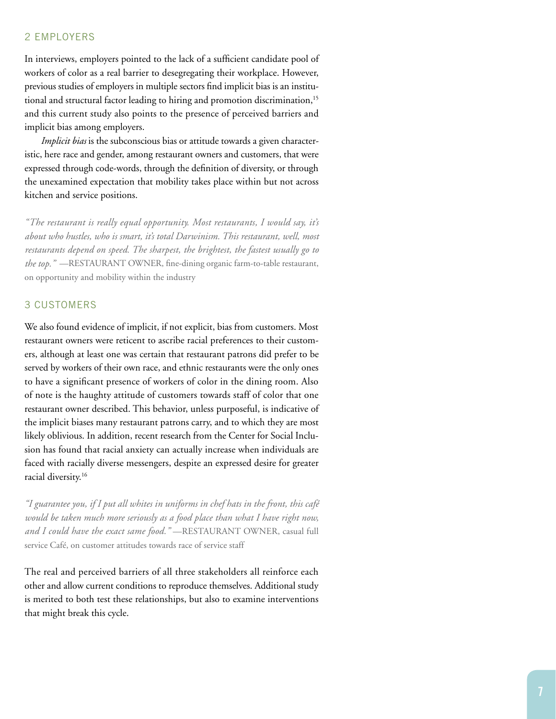#### 2 EMPLOYERS

In interviews, employers pointed to the lack of a sufficient candidate pool of workers of color as a real barrier to desegregating their workplace. However, previous studies of employers in multiple sectors find implicit bias is an institutional and structural factor leading to hiring and promotion discrimination,<sup>15</sup> and this current study also points to the presence of perceived barriers and implicit bias among employers.

*Implicit bias* is the subconscious bias or attitude towards a given characteristic, here race and gender, among restaurant owners and customers, that were expressed through code-words, through the definition of diversity, or through the unexamined expectation that mobility takes place within but not across kitchen and service positions.

*"The restaurant is really equal opportunity. Most restaurants, I would say, it's about who hustles, who is smart, it's total Darwinism. This restaurant, well, most restaurants depend on speed. The sharpest, the brightest, the fastest usually go to the top."* —RESTAURANT OWNER, fine-dining organic farm-to-table restaurant, on opportunity and mobility within the industry

## 3 CUSTOMERS

We also found evidence of implicit, if not explicit, bias from customers. Most restaurant owners were reticent to ascribe racial preferences to their customers, although at least one was certain that restaurant patrons did prefer to be served by workers of their own race, and ethnic restaurants were the only ones to have a significant presence of workers of color in the dining room. Also of note is the haughty attitude of customers towards staff of color that one restaurant owner described. This behavior, unless purposeful, is indicative of the implicit biases many restaurant patrons carry, and to which they are most likely oblivious. In addition, recent research from the Center for Social Inclusion has found that racial anxiety can actually increase when individuals are faced with racially diverse messengers, despite an expressed desire for greater racial diversity.16

*"I guarantee you, if I put all whites in uniforms in chef hats in the front, this café*  would be taken much more seriously as a food place than what I have right now, *and I could have the exact same food."* —RESTAURANT OWNER, casual full service Café, on customer attitudes towards race of service staff

The real and perceived barriers of all three stakeholders all reinforce each other and allow current conditions to reproduce themselves. Additional study is merited to both test these relationships, but also to examine interventions that might break this cycle.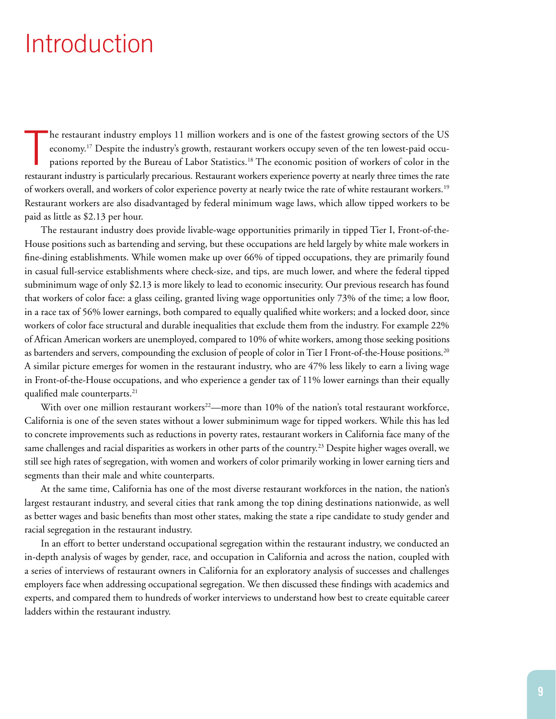# Introduction

T he restaurant industry employs 11 million workers and is one of the fastest growing sectors of the US economy.17 Despite the industry's growth, restaurant workers occupy seven of the ten lowest-paid occupations reported by the Bureau of Labor Statistics.<sup>18</sup> The economic position of workers of color in the restaurant industry is particularly precarious. Restaurant workers experience poverty at nearly three times the rate of workers overall, and workers of color experience poverty at nearly twice the rate of white restaurant workers.19 Restaurant workers are also disadvantaged by federal minimum wage laws, which allow tipped workers to be paid as little as \$2.13 per hour.

The restaurant industry does provide livable-wage opportunities primarily in tipped Tier I, Front-of-the-House positions such as bartending and serving, but these occupations are held largely by white male workers in fine-dining establishments. While women make up over 66% of tipped occupations, they are primarily found in casual full-service establishments where check-size, and tips, are much lower, and where the federal tipped subminimum wage of only \$2.13 is more likely to lead to economic insecurity. Our previous research has found that workers of color face: a glass ceiling, granted living wage opportunities only 73% of the time; a low floor, in a race tax of 56% lower earnings, both compared to equally qualified white workers; and a locked door, since workers of color face structural and durable inequalities that exclude them from the industry. For example 22% of African American workers are unemployed, compared to 10% of white workers, among those seeking positions as bartenders and servers, compounding the exclusion of people of color in Tier I Front-of-the-House positions.20 A similar picture emerges for women in the restaurant industry, who are 47% less likely to earn a living wage in Front-of-the-House occupations, and who experience a gender tax of 11% lower earnings than their equally qualified male counterparts.<sup>21</sup>

With over one million restaurant workers<sup>22</sup>—more than 10% of the nation's total restaurant workforce, California is one of the seven states without a lower subminimum wage for tipped workers. While this has led to concrete improvements such as reductions in poverty rates, restaurant workers in California face many of the same challenges and racial disparities as workers in other parts of the country.<sup>23</sup> Despite higher wages overall, we still see high rates of segregation, with women and workers of color primarily working in lower earning tiers and segments than their male and white counterparts.

At the same time, California has one of the most diverse restaurant workforces in the nation, the nation's largest restaurant industry, and several cities that rank among the top dining destinations nationwide, as well as better wages and basic benefits than most other states, making the state a ripe candidate to study gender and racial segregation in the restaurant industry.

In an effort to better understand occupational segregation within the restaurant industry, we conducted an in-depth analysis of wages by gender, race, and occupation in California and across the nation, coupled with a series of interviews of restaurant owners in California for an exploratory analysis of successes and challenges employers face when addressing occupational segregation. We then discussed these findings with academics and experts, and compared them to hundreds of worker interviews to understand how best to create equitable career ladders within the restaurant industry.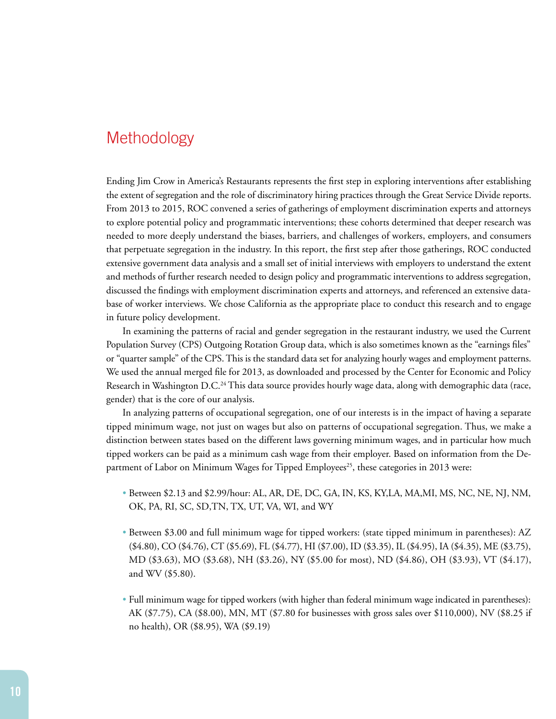## **Methodology**

Ending Jim Crow in America's Restaurants represents the first step in exploring interventions after establishing the extent of segregation and the role of discriminatory hiring practices through the Great Service Divide reports. From 2013 to 2015, ROC convened a series of gatherings of employment discrimination experts and attorneys to explore potential policy and programmatic interventions; these cohorts determined that deeper research was needed to more deeply understand the biases, barriers, and challenges of workers, employers, and consumers that perpetuate segregation in the industry. In this report, the first step after those gatherings, ROC conducted extensive government data analysis and a small set of initial interviews with employers to understand the extent and methods of further research needed to design policy and programmatic interventions to address segregation, discussed the findings with employment discrimination experts and attorneys, and referenced an extensive database of worker interviews. We chose California as the appropriate place to conduct this research and to engage in future policy development.

In examining the patterns of racial and gender segregation in the restaurant industry, we used the Current Population Survey (CPS) Outgoing Rotation Group data, which is also sometimes known as the "earnings files" or "quarter sample" of the CPS. This is the standard data set for analyzing hourly wages and employment patterns. We used the annual merged file for 2013, as downloaded and processed by the Center for Economic and Policy Research in Washington D.C.<sup>24</sup> This data source provides hourly wage data, along with demographic data (race, gender) that is the core of our analysis.

In analyzing patterns of occupational segregation, one of our interests is in the impact of having a separate tipped minimum wage, not just on wages but also on patterns of occupational segregation. Thus, we make a distinction between states based on the different laws governing minimum wages, and in particular how much tipped workers can be paid as a minimum cash wage from their employer. Based on information from the Department of Labor on Minimum Wages for Tipped Employees<sup>25</sup>, these categories in 2013 were:

- Between \$2.13 and \$2.99/hour: AL, AR, DE, DC, GA, IN, KS, KY,LA, MA,MI, MS, NC, NE, NJ, NM, OK, PA, RI, SC, SD,TN, TX, UT, VA, WI, and WY
- Between \$3.00 and full minimum wage for tipped workers: (state tipped minimum in parentheses): AZ (\$4.80), CO (\$4.76), CT (\$5.69), FL (\$4.77), HI (\$7.00), ID (\$3.35), IL (\$4.95), IA (\$4.35), ME (\$3.75), MD (\$3.63), MO (\$3.68), NH (\$3.26), NY (\$5.00 for most), ND (\$4.86), OH (\$3.93), VT (\$4.17), and WV (\$5.80).
- Full minimum wage for tipped workers (with higher than federal minimum wage indicated in parentheses): AK (\$7.75), CA (\$8.00), MN, MT (\$7.80 for businesses with gross sales over \$110,000), NV (\$8.25 if no health), OR (\$8.95), WA (\$9.19)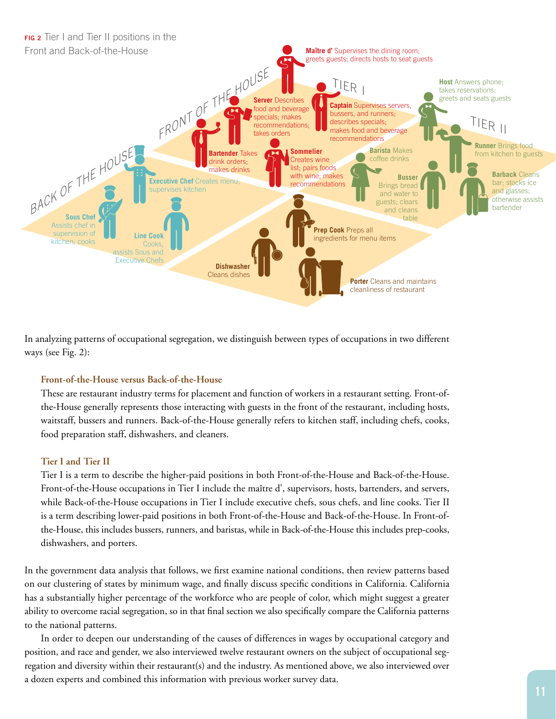

In analyzing patterns of occupational segregation, we distinguish between types of occupations in two different ways (see Fig. 2):

#### **Front-of-the-House versus Back-of-the-House**

These are restaurant industry terms for placement and function of workers in a restaurant setting. Front-ofthe-House generally represents those interacting with guests in the front of the restaurant, including hosts, waitstaff, bussers and runners. Back-of-the-House generally refers to kitchen staff, including chefs, cooks, food preparation staff, dishwashers, and cleaners.

#### **Tier I and Tier II**

Tier I is a term to describe the higher-paid positions in both Front-of-the-House and Back-of-the-House. Front-of-the-House occupations in Tier I include the maître d', supervisors, hosts, bartenders, and servers, while Back-of-the-House occupations in Tier I include executive chefs, sous chefs, and line cooks. Tier II is a term describing lower-paid positions in both Front-of-the-House and Back-of-the-House. In Front-ofthe-House, this includes bussers, runners, and baristas, while in Back-of-the-House this includes prep-cooks, dishwashers, and porters.

In the government data analysis that follows, we first examine national conditions, then review patterns based on our clustering of states by minimum wage, and finally discuss specific conditions in California. California has a substantially higher percentage of the workforce who are people of color, which might suggest a greater ability to overcome racial segregation, so in that final section we also specifically compare the California patterns to the national patterns.

In order to deepen our understanding of the causes of differences in wages by occupational category and position, and race and gender, we also interviewed twelve restaurant owners on the subject of occupational segregation and diversity within their restaurant(s) and the industry. As mentioned above, we also interviewed over a dozen experts and combined this information with previous worker survey data.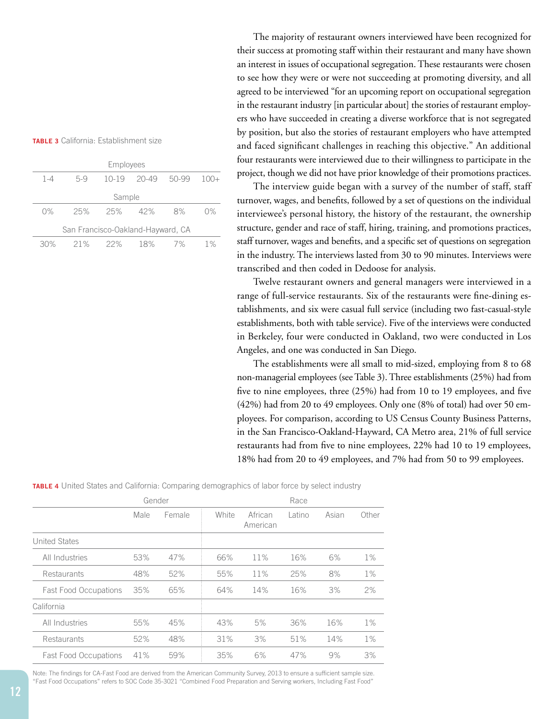| TABLE 3 California: Establishment size |
|----------------------------------------|
|----------------------------------------|

|                                   | Employees |         |           |       |       |  |  |  |
|-----------------------------------|-----------|---------|-----------|-------|-------|--|--|--|
| $1 - 4$                           | 5-9       | $10-19$ | $20 - 49$ | 50-99 | 1∩∩⊥  |  |  |  |
| Sample                            |           |         |           |       |       |  |  |  |
| $0\%$                             | 25%       | 25%     | 42%       | 8%    | 0%    |  |  |  |
| San Francisco-Oakland-Hayward, CA |           |         |           |       |       |  |  |  |
| 30%                               | 21%       | 22%     | 18%       | 7%    | $1\%$ |  |  |  |

The majority of restaurant owners interviewed have been recognized for their success at promoting staff within their restaurant and many have shown an interest in issues of occupational segregation. These restaurants were chosen to see how they were or were not succeeding at promoting diversity, and all agreed to be interviewed "for an upcoming report on occupational segregation in the restaurant industry [in particular about] the stories of restaurant employers who have succeeded in creating a diverse workforce that is not segregated by position, but also the stories of restaurant employers who have attempted and faced significant challenges in reaching this objective." An additional four restaurants were interviewed due to their willingness to participate in the project, though we did not have prior knowledge of their promotions practices.

The interview guide began with a survey of the number of staff, staff turnover, wages, and benefits, followed by a set of questions on the individual interviewee's personal history, the history of the restaurant, the ownership structure, gender and race of staff, hiring, training, and promotions practices, staff turnover, wages and benefits, and a specific set of questions on segregation in the industry. The interviews lasted from 30 to 90 minutes. Interviews were transcribed and then coded in Dedoose for analysis.

Twelve restaurant owners and general managers were interviewed in a range of full-service restaurants. Six of the restaurants were fine-dining establishments, and six were casual full service (including two fast-casual-style establishments, both with table service). Five of the interviews were conducted in Berkeley, four were conducted in Oakland, two were conducted in Los Angeles, and one was conducted in San Diego.

The establishments were all small to mid-sized, employing from 8 to 68 non-managerial employees (see Table 3). Three establishments (25%) had from five to nine employees, three (25%) had from 10 to 19 employees, and five (42%) had from 20 to 49 employees. Only one (8% of total) had over 50 employees. For comparison, according to US Census County Business Patterns, in the San Francisco-Oakland-Hayward, CA Metro area, 21% of full service restaurants had from five to nine employees, 22% had 10 to 19 employees, 18% had from 20 to 49 employees, and 7% had from 50 to 99 employees.

**TABLE 4** United States and California: Comparing demographics of labor force by select industry

|                              | Gender |        |       | Race                |        |       |       |
|------------------------------|--------|--------|-------|---------------------|--------|-------|-------|
|                              | Male   | Female | White | African<br>American | Latino | Asian | Other |
| United States                |        |        |       |                     |        |       |       |
| All Industries               | 53%    | 47%    | 66%   | 11%                 | 16%    | 6%    | $1\%$ |
| <b>Restaurants</b>           | 48%    | 52%    | 55%   | 11%                 | 25%    | 8%    | $1\%$ |
| <b>Fast Food Occupations</b> | 35%    | 65%    | 64%   | 14%                 | 16%    | 3%    | 2%    |
| California                   |        |        |       |                     |        |       |       |
| All Industries               | 55%    | 45%    | 43%   | 5%                  | 36%    | 16%   | $1\%$ |
| Restaurants                  | 52%    | 48%    | 31%   | 3%                  | 51%    | 14%   | $1\%$ |
| <b>Fast Food Occupations</b> | 41%    | 59%    | 35%   | 6%                  | 47%    | 9%    | 3%    |

Note: The findings for CA-Fast Food are derived from the American Community Survey, 2013 to ensure a sufficient sample size. "Fast Food Occupations" refers to SOC Code 35-3021 "Combined Food Preparation and Serving workers, Including Fast Food"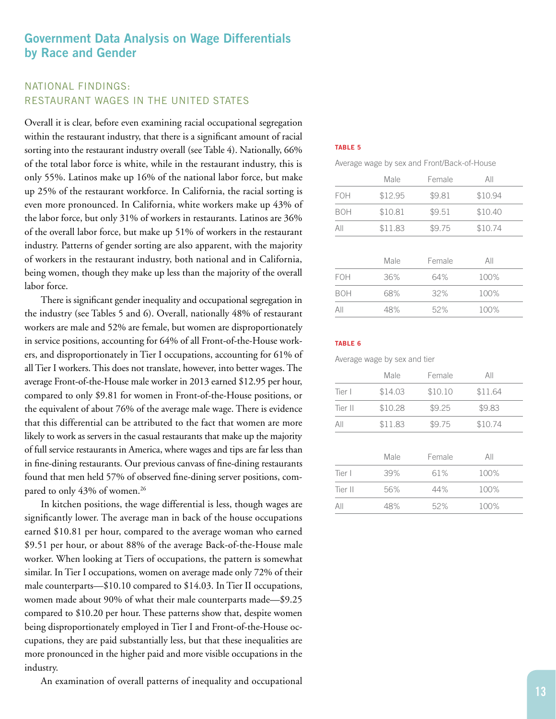## **Government Data Analysis on Wage Differentials by Race and Gender**

## NATIONAL FINDINGS: RESTAURANT WAGES IN THE UNITED STATES

Overall it is clear, before even examining racial occupational segregation within the restaurant industry, that there is a significant amount of racial sorting into the restaurant industry overall (see Table 4). Nationally, 66% of the total labor force is white, while in the restaurant industry, this is only 55%. Latinos make up 16% of the national labor force, but make up 25% of the restaurant workforce. In California, the racial sorting is even more pronounced. In California, white workers make up 43% of the labor force, but only 31% of workers in restaurants. Latinos are 36% of the overall labor force, but make up 51% of workers in the restaurant industry. Patterns of gender sorting are also apparent, with the majority of workers in the restaurant industry, both national and in California, being women, though they make up less than the majority of the overall labor force.

There is significant gender inequality and occupational segregation in the industry (see Tables 5 and 6). Overall, nationally 48% of restaurant workers are male and 52% are female, but women are disproportionately in service positions, accounting for 64% of all Front-of-the-House workers, and disproportionately in Tier I occupations, accounting for 61% of all Tier I workers. This does not translate, however, into better wages. The average Front-of-the-House male worker in 2013 earned \$12.95 per hour, compared to only \$9.81 for women in Front-of-the-House positions, or the equivalent of about 76% of the average male wage. There is evidence that this differential can be attributed to the fact that women are more likely to work as servers in the casual restaurants that make up the majority of full service restaurants in America, where wages and tips are far less than in fine-dining restaurants. Our previous canvass of fine-dining restaurants found that men held 57% of observed fine-dining server positions, compared to only 43% of women.<sup>26</sup>

In kitchen positions, the wage differential is less, though wages are significantly lower. The average man in back of the house occupations earned \$10.81 per hour, compared to the average woman who earned \$9.51 per hour, or about 88% of the average Back-of-the-House male worker. When looking at Tiers of occupations, the pattern is somewhat similar. In Tier I occupations, women on average made only 72% of their male counterparts—\$10.10 compared to \$14.03. In Tier II occupations, women made about 90% of what their male counterparts made—\$9.25 compared to \$10.20 per hour. These patterns show that, despite women being disproportionately employed in Tier I and Front-of-the-House occupations, they are paid substantially less, but that these inequalities are more pronounced in the higher paid and more visible occupations in the industry.

An examination of overall patterns of inequality and occupational

#### **TABLE 5**

|  | Average wage by sex and Front/Back-of-House |
|--|---------------------------------------------|
|--|---------------------------------------------|

|            | Male    | Female | All     |  |
|------------|---------|--------|---------|--|
| <b>FOH</b> | \$12.95 | \$9.81 | \$10.94 |  |
| <b>BOH</b> | \$10.81 | \$9.51 | \$10.40 |  |
| All        | \$11.83 | \$9.75 | \$10.74 |  |
|            |         |        |         |  |
|            | Male    | Female | All     |  |
| <b>FOH</b> | 36%     | 64%    | 100%    |  |
| <b>BOH</b> | 68%     | 32%    | 100%    |  |
| AII        | 48%     | 52%    | 100%    |  |

#### **TABLE 6**

Average wage by sex and tier

|         | Male    | Female  | All     |  |
|---------|---------|---------|---------|--|
| Tier I  | \$14.03 | \$10.10 | \$11.64 |  |
| Tier II | \$10.28 | \$9.25  | \$9.83  |  |
| All     | \$11.83 | \$9.75  | \$10.74 |  |
|         |         |         |         |  |
|         | Male    | Female  | All     |  |
| Tier I  | 39%     | 61%     | 100%    |  |
| Tier II | 56%     | 44%     | 100%    |  |
| All     | 48%     | 52%     | 100%    |  |
|         |         |         |         |  |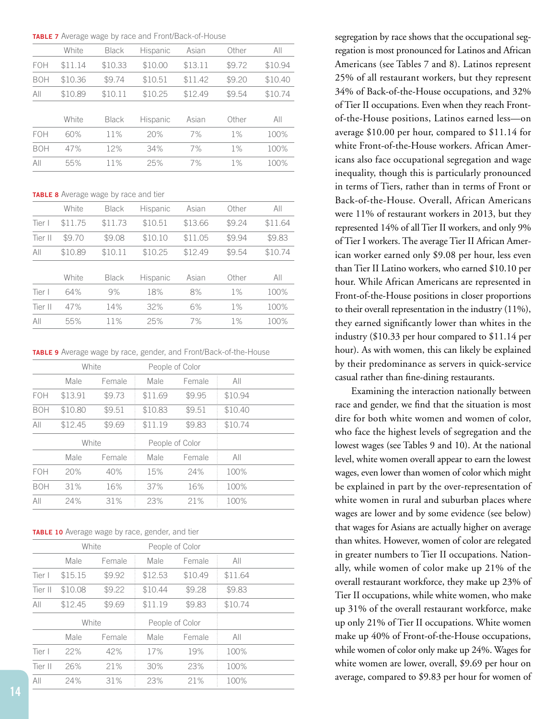**TABLE 7** Average wage by race and Front/Back-of-House

|            | White   | <b>Black</b> | Hispanic | Asian   | Other  | All     |
|------------|---------|--------------|----------|---------|--------|---------|
| FOH        | \$11.14 | \$10.33      | \$10.00  | \$13.11 | \$9.72 | \$10.94 |
| <b>BOH</b> | \$10.36 | \$9.74       | \$10.51  | \$11.42 | \$9.20 | \$10.40 |
| All        | \$10.89 | \$10.11      | \$10.25  | \$12.49 | \$9.54 | \$10.74 |
|            |         |              |          |         |        |         |
|            | White   | Black        | Hispanic | Asian   | Other  | All     |
| FOH        | 60%     | 11%          | 20%      | 7%      | $1\%$  | 100%    |
| <b>BOH</b> | 47%     | 12%          | 34%      | 7%      | $1\%$  | 100%    |
| All        | 55%     | 11%          | 25%      | 7%      | 1%     | 100%    |
|            |         |              |          |         |        |         |

**TABLE 8** Average wage by race and tier

|         | White   | <b>Black</b> | Hispanic | Asian   | Other  | All     |
|---------|---------|--------------|----------|---------|--------|---------|
| Tier I  | \$11.75 | \$11.73      | \$10.51  | \$13.66 | \$9.24 | \$11.64 |
| Tier II | \$9.70  | \$9.08       | \$10.10  | \$11.05 | \$9.94 | \$9.83  |
| All     | \$10.89 | \$10.11      | \$10.25  | \$12.49 | \$9.54 | \$10.74 |
|         |         |              |          |         |        |         |
|         | White   | <b>Black</b> | Hispanic | Asian   | Other  | All     |
| Tier I  | 64%     | 9%           | 18%      | 8%      | $1\%$  | 100%    |
| Tier II | 47%     | 14%          | 32%      | 6%      | $1\%$  | 100%    |
| All     | 55%     | 11%          | 25%      | 7%      | $1\%$  | 100%    |

**TABLE 9** Average wage by race, gender, and Front/Back-of-the-House

|            | White   |        |                 | People of Color |         |  |
|------------|---------|--------|-----------------|-----------------|---------|--|
|            | Male    | Female | Male            | Female          | All     |  |
| FOH        | \$13.91 | \$9.73 | \$11.69         | \$9.95          | \$10.94 |  |
| <b>BOH</b> | \$10.80 | \$9.51 | \$10.83         | \$9.51          | \$10.40 |  |
| All        | \$12.45 | \$9.69 | \$11.19         | \$9.83          | \$10.74 |  |
| White      |         |        | People of Color |                 |         |  |
|            | Male    | Female | Male            | Female          | All     |  |
| FOH        | 20%     | 40%    | 15%             | 24%             | 100%    |  |
| <b>BOH</b> | 31%     | 16%    | 37%             | 16%             | 100%    |  |
| All        | 24%     | 31%    | 23%             | 21%             | 100%    |  |

**TABLE 10** Average wage by race, gender, and tier

| White<br>Female<br>\$9.92 | People of Color<br>Male | Female  |         |                           |
|---------------------------|-------------------------|---------|---------|---------------------------|
|                           |                         |         |         |                           |
|                           |                         |         | All     |                           |
|                           | \$12.53                 | \$10.49 | \$11.64 |                           |
| \$9.22                    | \$10.44                 | \$9.28  | \$9.83  |                           |
| \$9.69                    | \$11.19                 | \$9.83  | \$10.74 |                           |
| White                     | People of Color         |         |         |                           |
| Female                    | Male                    | Female  | All     |                           |
| 42%                       | 17%                     | 19%     | 100%    |                           |
| 21%                       | 30%                     | 23%     | 100%    |                           |
|                           |                         |         |         |                           |
|                           |                         |         |         | 23%<br>21%<br>100%<br>31% |

segregation by race shows that the occupational segregation is most pronounced for Latinos and African Americans (see Tables 7 and 8). Latinos represent 25% of all restaurant workers, but they represent 34% of Back-of-the-House occupations, and 32% of Tier II occupations. Even when they reach Frontof-the-House positions, Latinos earned less—on average \$10.00 per hour, compared to \$11.14 for white Front-of-the-House workers. African Americans also face occupational segregation and wage inequality, though this is particularly pronounced in terms of Tiers, rather than in terms of Front or Back-of-the-House. Overall, African Americans were 11% of restaurant workers in 2013, but they represented 14% of all Tier II workers, and only 9% of Tier I workers. The average Tier II African American worker earned only \$9.08 per hour, less even than Tier II Latino workers, who earned \$10.10 per hour. While African Americans are represented in Front-of-the-House positions in closer proportions to their overall representation in the industry (11%), they earned significantly lower than whites in the industry (\$10.33 per hour compared to \$11.14 per hour). As with women, this can likely be explained by their predominance as servers in quick-service casual rather than fine-dining restaurants.

Examining the interaction nationally between race and gender, we find that the situation is most dire for both white women and women of color, who face the highest levels of segregation and the lowest wages (see Tables 9 and 10). At the national level, white women overall appear to earn the lowest wages, even lower than women of color which might be explained in part by the over-representation of white women in rural and suburban places where wages are lower and by some evidence (see below) that wages for Asians are actually higher on average than whites. However, women of color are relegated in greater numbers to Tier II occupations. Nationally, while women of color make up 21% of the overall restaurant workforce, they make up 23% of Tier II occupations, while white women, who make up 31% of the overall restaurant workforce, make up only 21% of Tier II occupations. White women make up 40% of Front-of-the-House occupations, while women of color only make up 24%. Wages for white women are lower, overall, \$9.69 per hour on average, compared to \$9.83 per hour for women of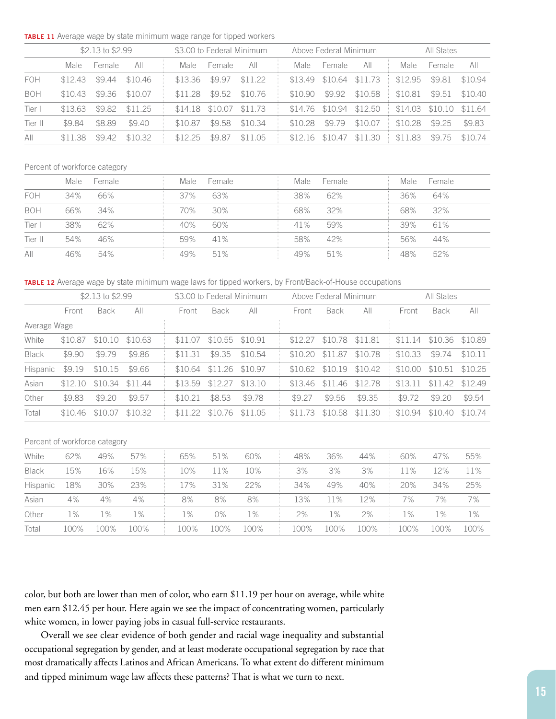**TABLE 11** Average wage by state minimum wage range for tipped workers

|            | \$2.13 to $$2.99$ |        |         | \$3.00 to Federal Minimum |         |         |         | Above Federal Minimum |         | All States |         |         |
|------------|-------------------|--------|---------|---------------------------|---------|---------|---------|-----------------------|---------|------------|---------|---------|
|            | Male              | Female | AII     | Male.                     | Female  | AII     | Male    | <b>Female</b>         | All     | Male       | Female  | AII     |
| <b>FOH</b> | \$12.43           | \$9.44 | \$10.46 | \$13.36                   | \$9.97  | \$11.22 |         | \$13.49 \$10.64       | \$11.73 | \$12.95    | \$9.81  | \$10.94 |
| <b>BOH</b> | \$10.43           | \$9.36 | \$10.07 | \$11.28                   | \$9.52  | \$10.76 | \$10.90 | \$9.92                | \$10.58 | \$10.81    | \$9.51  | \$10.40 |
| Tier I     | \$13.63           | \$9.82 | \$11.25 | \$14.18                   | \$10.07 | \$11.73 |         | \$14.76 \$10.94       | \$12.50 | \$14.03    | \$10.10 | \$11.64 |
| Tier II    | \$9.84            | \$8.89 | \$9.40  | \$10.87                   | \$9.58  | \$10.34 | \$10.28 | \$9.79                | \$10.07 | \$10.28    | \$9.25  | \$9.83  |
| AII        | \$11.38           | \$9.42 | \$10.32 | \$12.25                   | \$9.87  | \$11.05 | \$12.16 | \$10.47               | \$11.30 | \$11.83    | \$9.75  | \$10.74 |

#### Percent of workforce category

|            | Male | Female | Male   | Female | Male | Female | Male | Female |
|------------|------|--------|--------|--------|------|--------|------|--------|
| <b>FOH</b> | 34%  | 66%    | $37\%$ | 63%    | 38%  | 62%    | 36%  | 64%    |
| <b>BOH</b> | 66%  | 34%    | 70%    | 30%    | 68%  | 32%    | 68%  | 32%    |
| Tier I     | 38%  | 62%    | 40%    | 60%    | 41%  | 59%    | 39%  | 61%    |
| Tier II    | 54%  | 46%    | 59%    | 41%    | 58%  | 42%    | 56%  | 44%    |
| All        | 46%  | 54%    | 49%    | 51%    | 49%  | 51%    | 48%  | 52%    |

**TABLE 12** Average wage by state minimum wage laws for tipped workers, by Front/Back-of-House occupations

|              | \$2.13 to \$2.99 |         |                 |         | \$3.00 to Federal Minimum |                 |  |         | Above Federal Minimum |         |         | All States      |         |  |
|--------------|------------------|---------|-----------------|---------|---------------------------|-----------------|--|---------|-----------------------|---------|---------|-----------------|---------|--|
|              | Front            | Back    | All             | Front   | <b>Back</b>               | All             |  | Front   | <b>Back</b>           | All     | Front   | <b>Back</b>     | All     |  |
| Average Wage |                  |         |                 |         |                           |                 |  |         |                       |         |         |                 |         |  |
| White        | \$10.87          | \$10.10 | \$10.63         | \$11.07 |                           | \$10.55 \$10.91 |  | \$12.27 | \$10.78               | \$11.81 | \$11.14 | \$10.36 \$10.89 |         |  |
| <b>Black</b> | \$9.90           | \$9.79  | \$9.86          | \$11.31 | \$9.35                    | \$10.54         |  | \$10.20 | \$11.87               | \$10.78 | \$10.33 | \$9.74          | \$10.11 |  |
| Hispanic     | \$9.19           | \$10.15 | \$9.66          | \$10.64 | $$11.26$ $$10.97$         |                 |  | \$10.62 | \$10.19               | \$10.42 | \$10.00 | \$10.51         | \$10.25 |  |
| Asian        | \$12.10          |         | \$10.34 \$11.44 | \$13.59 | \$12.27                   | \$13.10         |  | \$13.46 | \$11.46               | \$12.78 | \$13.11 | \$11.42         | \$12.49 |  |
| Other        | \$9.83           | \$9.20  | \$9.57          | \$10.21 | \$8.53                    | \$9.78          |  | \$9.27  | \$9.56                | \$9.35  | \$9.72  | \$9.20          | \$9.54  |  |
| Total        | \$10.46          | \$10.07 | \$10.32         | \$11.22 | \$10.76                   | \$11.05         |  | \$11.73 | \$10.58               | \$11.30 | \$10.94 | \$10.40         | \$10.74 |  |

#### Percent of workforce category

| White        | 62%  | 49%  | 57%  | 65%   | 51%  | 60%  | 48%  | 36%  | 44%  | 60%   | 47%   | 55%  |
|--------------|------|------|------|-------|------|------|------|------|------|-------|-------|------|
| <b>Black</b> | 15%  | 16%  | 15%  | 10%   | 1%   | 10%  | 3%   | 3%   | 3%   | 11%   | 12%   | 11%  |
| Hispanic     | 18%  | 30%  | 23%  | 17%   | 31%  | 22%  | 34%  | 49%  | 40%  | 20%   | 34%   | 25%  |
| Asian        | 4%   | 4%   | 4%   | 8%    | 8%   | 8%   | 13%  | 11%  | 12%  | 7%    | 7%    | 7%   |
| Other        | 1%   | 1%   | 1%   | $1\%$ | 0%   | 1%   | 2%   | 1%   | 2%   | $1\%$ | $1\%$ | 1%   |
| Total        | 100% | 100% | 100% | 100%  | 100% | 100% | 100% | 100% | 100% | 100%  | 100%  | 100% |

color, but both are lower than men of color, who earn \$11.19 per hour on average, while white men earn \$12.45 per hour. Here again we see the impact of concentrating women, particularly white women, in lower paying jobs in casual full-service restaurants.

Overall we see clear evidence of both gender and racial wage inequality and substantial occupational segregation by gender, and at least moderate occupational segregation by race that most dramatically affects Latinos and African Americans. To what extent do different minimum and tipped minimum wage law affects these patterns? That is what we turn to next.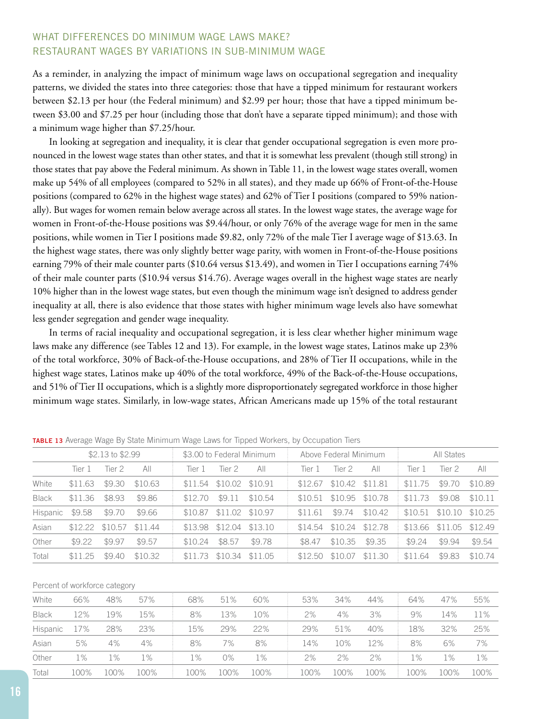## WHAT DIFFERENCES DO MINIMUM WAGE LAWS MAKE? RESTAURANT WAGES BY VARIATIONS IN SUB-MINIMUM WAGE

As a reminder, in analyzing the impact of minimum wage laws on occupational segregation and inequality patterns, we divided the states into three categories: those that have a tipped minimum for restaurant workers between \$2.13 per hour (the Federal minimum) and \$2.99 per hour; those that have a tipped minimum between \$3.00 and \$7.25 per hour (including those that don't have a separate tipped minimum); and those with a minimum wage higher than \$7.25/hour.

In looking at segregation and inequality, it is clear that gender occupational segregation is even more pronounced in the lowest wage states than other states, and that it is somewhat less prevalent (though still strong) in those states that pay above the Federal minimum. As shown in Table 11, in the lowest wage states overall, women make up 54% of all employees (compared to 52% in all states), and they made up 66% of Front-of-the-House positions (compared to 62% in the highest wage states) and 62% of Tier I positions (compared to 59% nationally). But wages for women remain below average across all states. In the lowest wage states, the average wage for women in Front-of-the-House positions was \$9.44/hour, or only 76% of the average wage for men in the same positions, while women in Tier I positions made \$9.82, only 72% of the male Tier I average wage of \$13.63. In the highest wage states, there was only slightly better wage parity, with women in Front-of-the-House positions earning 79% of their male counter parts (\$10.64 versus \$13.49), and women in Tier I occupations earning 74% of their male counter parts (\$10.94 versus \$14.76). Average wages overall in the highest wage states are nearly 10% higher than in the lowest wage states, but even though the minimum wage isn't designed to address gender inequality at all, there is also evidence that those states with higher minimum wage levels also have somewhat less gender segregation and gender wage inequality.

In terms of racial inequality and occupational segregation, it is less clear whether higher minimum wage laws make any difference (see Tables 12 and 13). For example, in the lowest wage states, Latinos make up 23% of the total workforce, 30% of Back-of-the-House occupations, and 28% of Tier II occupations, while in the highest wage states, Latinos make up 40% of the total workforce, 49% of the Back-of-the-House occupations, and 51% of Tier II occupations, which is a slightly more disproportionately segregated workforce in those higher minimum wage states. Similarly, in low-wage states, African Americans made up 15% of the total restaurant

|                 | \$2.13 to \$2.99 |         |         | \$3.00 to Federal Minimum |         |         |         | Above Federal Minimum |         | All States |         |         |
|-----------------|------------------|---------|---------|---------------------------|---------|---------|---------|-----------------------|---------|------------|---------|---------|
|                 | Tier 1           | Tier 2  | AII     | Tier 1                    | Tier 2  | All     | Tier 1  | Tier 2                | All     | Tier 1     | Tier 2  | All     |
| White           | \$11.63          | \$9.30  | \$10.63 | \$11.54                   | \$10.02 | \$10.91 | \$12.67 | \$10.42               | \$11.81 | \$11.75    | \$9.70  | \$10.89 |
| <b>Black</b>    | \$11.36          | \$8.93  | \$9.86  | \$12.70                   | \$9.11  | \$10.54 | \$10.51 | \$10.95 \$10.78       |         | \$11.73    | \$9.08  | \$10.11 |
| <b>Hispanic</b> | \$9.58           | \$9.70  | \$9.66  | \$10.87                   | \$11.02 | \$10.97 | \$11.61 | \$9.74                | \$10.42 | \$10.51    | \$10.10 | \$10.25 |
| Asian           | \$12.22          | \$10.57 | \$11.44 | \$13.98                   | \$12.04 | \$13.10 | \$14.54 | \$10.24               | \$12.78 | \$13.66    | \$11.05 | \$12.49 |
| Other           | \$9.22           | \$9.97  | \$9.57  | \$10.24                   | \$8.57  | \$9.78  | \$8.47  | \$10.35               | \$9.35  | \$9.24     | \$9.94  | \$9.54  |
| Total           | \$11.25          | \$9.40  | \$10.32 | \$11.73                   | \$10.34 | \$11.05 | \$12.50 | \$10.07               | \$11.30 | \$11.64    | \$9.83  | \$10.74 |

**TABLE 13** Average Wage By State Minimum Wage Laws for Tipped Workers, by Occupation Tiers

#### Percent of workforce category

| White           | 66%   | 48%   | 57%   | 68%  | 51%   | 60%   | 53%  | 34%  | 44%  | 64%   | 47%  | 55%   |
|-----------------|-------|-------|-------|------|-------|-------|------|------|------|-------|------|-------|
| <b>Black</b>    | 12%   | 19%   | 15%   | 8%   | 13%   | 10%   | 2%   | 4%   | 3%   | 9%    | l 4% | 11%   |
| <b>Hispanic</b> | 17%   | 28%   | 23%   | 15%  | 29%   | 22%   | 29%  | 51%  | 40%  | 18%   | 32%  | 25%   |
| Asian           | 5%    | 4%    | 4%    | 8%   | 7%    | 8%    | 14%  | 10%  | 12%  | 8%    | 6%   | 7%    |
| Other           | $1\%$ | $1\%$ | $1\%$ | 1%   | $0\%$ | $1\%$ | 2%   | 2%   | 2%   | $1\%$ | 1%   | $1\%$ |
| Total           | 100%  | 100%  | 100%  | 100% | 100%  | 100%  | 100% | 100% | 100% | 100%  | 100% | 100%  |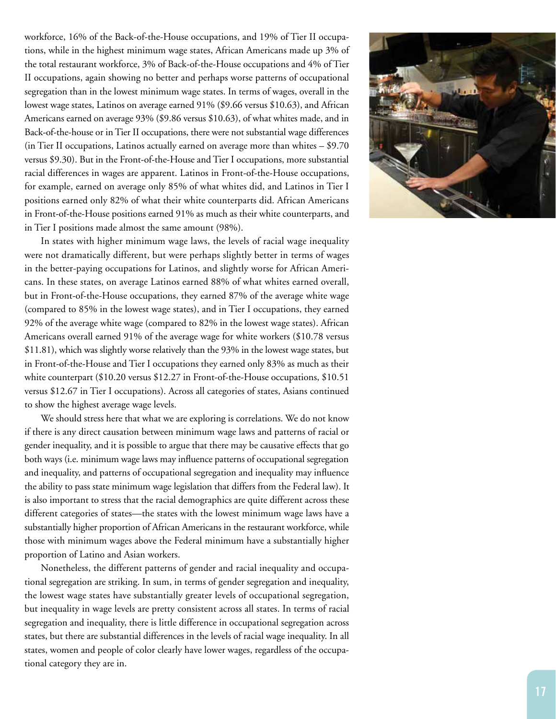workforce, 16% of the Back-of-the-House occupations, and 19% of Tier II occupa tions, while in the highest minimum wage states, African Americans made up 3% of the total restaurant workforce, 3% of Back-of-the-House occupations and 4% of Tier II occupations, again showing no better and perhaps worse patterns of occupational segregation than in the lowest minimum wage states. In terms of wages, overall in the lowest wage states, Latinos on average earned 91% (\$9.66 versus \$10.63), and African Americans earned on average 93% (\$9.86 versus \$10.63), of what whites made, and in Back-of-the-house or in Tier II occupations, there were not substantial wage differences (in Tier II occupations, Latinos actually earned on average more than whites – \$9.70 versus \$9.30). But in the Front-of-the-House and Tier I occupations, more substantial racial differences in wages are apparent. Latinos in Front-of-the-House occupations, for example, earned on average only 85% of what whites did, and Latinos in Tier I positions earned only 82% of what their white counterparts did. African Americans in Front-of-the-House positions earned 91% as much as their white counterparts, and in Tier I positions made almost the same amount (98%).

In states with higher minimum wage laws, the levels of racial wage inequality were not dramatically different, but were perhaps slightly better in terms of wages in the better-paying occupations for Latinos, and slightly worse for African Ameri cans. In these states, on average Latinos earned 88% of what whites earned overall, but in Front-of-the-House occupations, they earned 87% of the average white wage (compared to 85% in the lowest wage states), and in Tier I occupations, they earned 92% of the average white wage (compared to 82% in the lowest wage states). African Americans overall earned 91% of the average wage for white workers (\$10.78 versus \$11.81), which was slightly worse relatively than the 93% in the lowest wage states, but in Front-of-the-House and Tier I occupations they earned only 83% as much as their white counterpart (\$10.20 versus \$12.27 in Front-of-the-House occupations, \$10.51 versus \$12.67 in Tier I occupations). Across all categories of states, Asians continued to show the highest average wage levels.

We should stress here that what we are exploring is correlations. We do not know if there is any direct causation between minimum wage laws and patterns of racial or gender inequality, and it is possible to argue that there may be causative effects that go both ways (i.e. minimum wage laws may influence patterns of occupational segregation and inequality, and patterns of occupational segregation and inequality may influence the ability to pass state minimum wage legislation that differs from the Federal law). It is also important to stress that the racial demographics are quite different across these different categories of states—the states with the lowest minimum wage laws have a substantially higher proportion of African Americans in the restaurant workforce, while those with minimum wages above the Federal minimum have a substantially higher proportion of Latino and Asian workers.

Nonetheless, the different patterns of gender and racial inequality and occupa tional segregation are striking. In sum, in terms of gender segregation and inequality, the lowest wage states have substantially greater levels of occupational segregation, but inequality in wage levels are pretty consistent across all states. In terms of racial segregation and inequality, there is little difference in occupational segregation across states, but there are substantial differences in the levels of racial wage inequality. In all states, women and people of color clearly have lower wages, regardless of the occupa tional category they are in.

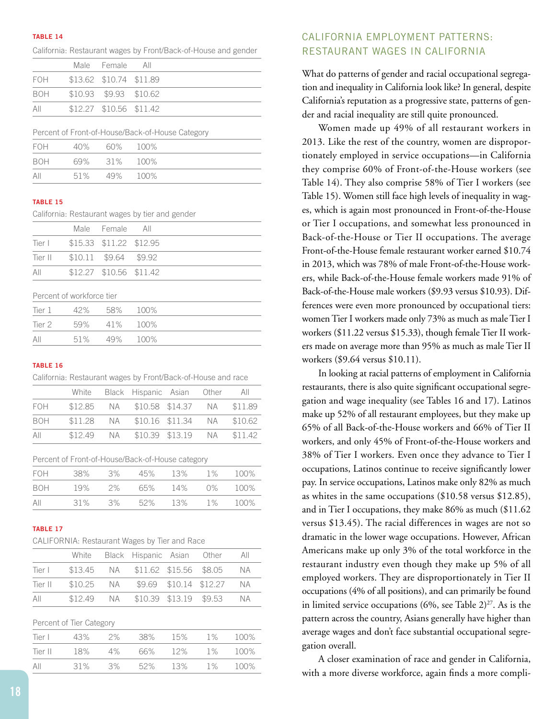#### **TABLE 14**

|     |                         | Male Female All         |  |
|-----|-------------------------|-------------------------|--|
| FOH | \$13.62 \$10.74 \$11.89 |                         |  |
| BOH |                         | \$10.93 \$9.93 \$10.62  |  |
| AII |                         | \$12.27 \$10.56 \$11.42 |  |
|     |                         |                         |  |

California: Restaurant wages by Front/Back-of-House and gender

#### Percent of Front-of-House/Back-of-House Category

| FOH        | 40% 60% 100% |  |
|------------|--------------|--|
| <b>BOH</b> | 69% 31% 100% |  |
| All        | 51% 49% 100% |  |

#### **TABLE 15**

California: Restaurant wages by tier and gender

|     |                                | Male Female All         |  |
|-----|--------------------------------|-------------------------|--|
|     | Tier   \$15.33 \$11.22 \$12.95 |                         |  |
|     | Tier II \$10.11 \$9.64 \$9.92  |                         |  |
| AII |                                | \$12.27 \$10.56 \$11.42 |  |

Percent of workforce tier

| Tier 1 | 42% 58% 100% |  |
|--------|--------------|--|
| Tier 2 | 59% 41% 100% |  |
| All    | 51% 49% 100% |  |

#### **TABLE 16**

|     | California: Restaurant wages by Front/Back-of-House and race |                                       |  |     |
|-----|--------------------------------------------------------------|---------------------------------------|--|-----|
|     |                                                              | White Black Hispanic Asian Other      |  | All |
| FOH |                                                              | \$12.85 NA \$10.58 \$14.37 NA \$11.89 |  |     |
| BOH |                                                              | \$11.28 NA \$10.16 \$11.34 NA \$10.62 |  |     |
| AII |                                                              | \$12.49 NA \$10.39 \$13.19 NA \$11.42 |  |     |
|     |                                                              |                                       |  |     |

Percent of Front-of-House/Back-of-House category

| FOH | 38% | .3%   | 45% | 13%     | $1\%$ | 100% |
|-----|-----|-------|-----|---------|-------|------|
| BOH | 19% | $2\%$ |     | 65% 14% | 0%    | 100% |
| All | 31% | 3%    | 52% | 13%     | $1\%$ | 100% |

#### **TABLE 17**

|     |                                           | White Black Hispanic Asian Other  |  | All |
|-----|-------------------------------------------|-----------------------------------|--|-----|
|     | Tier   \$13.45 NA \$11.62 \$15.56 \$8.05  |                                   |  | N A |
|     | Tier II \$10.25 NA \$9.69 \$10.14 \$12.27 |                                   |  | N A |
| AII |                                           | \$12.49 NA \$10.39 \$13.19 \$9.53 |  | ΝA  |

| Percent of Tier Category |  |  |
|--------------------------|--|--|
|--------------------------|--|--|

| Tier L  | 43% | $2\%$ | 38% | 15% | $1\%$ | 100% |
|---------|-----|-------|-----|-----|-------|------|
| Tier II | 18% | 4%    | 66% | 12% | $1\%$ | 100% |
| All     | 31% | .3%   | 52% | 13% | $1\%$ | 100% |

## CALIFORNIA EMPLOYMENT PATTERNS: RESTAURANT WAGES IN CALIFORNIA

What do patterns of gender and racial occupational segregation and inequality in California look like? In general, despite California's reputation as a progressive state, patterns of gender and racial inequality are still quite pronounced.

Women made up 49% of all restaurant workers in 2013. Like the rest of the country, women are disproportionately employed in service occupations—in California they comprise 60% of Front-of-the-House workers (see Table 14). They also comprise 58% of Tier I workers (see Table 15). Women still face high levels of inequality in wages, which is again most pronounced in Front-of-the-House or Tier I occupations, and somewhat less pronounced in Back-of-the-House or Tier II occupations. The average Front-of-the-House female restaurant worker earned \$10.74 in 2013, which was 78% of male Front-of-the-House workers, while Back-of-the-House female workers made 91% of Back-of-the-House male workers (\$9.93 versus \$10.93). Differences were even more pronounced by occupational tiers: women Tier I workers made only 73% as much as male Tier I workers (\$11.22 versus \$15.33), though female Tier II workers made on average more than 95% as much as male Tier II workers (\$9.64 versus \$10.11).

In looking at racial patterns of employment in California restaurants, there is also quite significant occupational segregation and wage inequality (see Tables 16 and 17). Latinos make up 52% of all restaurant employees, but they make up 65% of all Back-of-the-House workers and 66% of Tier II workers, and only 45% of Front-of-the-House workers and 38% of Tier I workers. Even once they advance to Tier I occupations, Latinos continue to receive significantly lower pay. In service occupations, Latinos make only 82% as much as whites in the same occupations (\$10.58 versus \$12.85), and in Tier I occupations, they make 86% as much (\$11.62 versus \$13.45). The racial differences in wages are not so dramatic in the lower wage occupations. However, African Americans make up only 3% of the total workforce in the restaurant industry even though they make up 5% of all employed workers. They are disproportionately in Tier II occupations (4% of all positions), and can primarily be found in limited service occupations (6%, see Table  $2)^{27}$ . As is the pattern across the country, Asians generally have higher than average wages and don't face substantial occupational segregation overall.

A closer examination of race and gender in California, with a more diverse workforce, again finds a more compli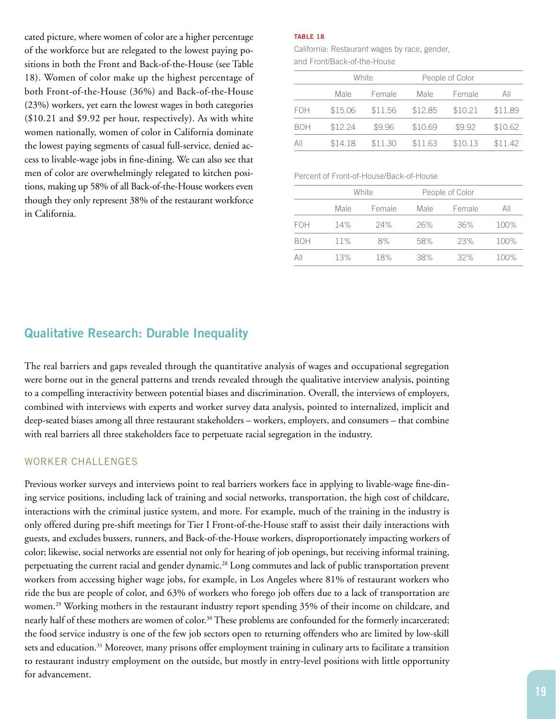cated picture, where women of color are a higher percentage of the workforce but are relegated to the lowest paying positions in both the Front and Back-of-the-House (see Table 18). Women of color make up the highest percentage of both Front-of-the-House (36%) and Back-of-the-House (23%) workers, yet earn the lowest wages in both categories (\$10.21 and \$9.92 per hour, respectively). As with white women nationally, women of color in California dominate the lowest paying segments of casual full-service, denied access to livable-wage jobs in fine-dining. We can also see that men of color are overwhelmingly relegated to kitchen positions, making up 58% of all Back-of-the-House workers even though they only represent 38% of the restaurant workforce in California.

#### **TABLE 18**

California: Restaurant wages by race, gender, and Front/Back-of-the-House

|            |                 | White   | People of Color |         |         |
|------------|-----------------|---------|-----------------|---------|---------|
|            | Female<br>Male. |         | Male.           | Female  | All     |
| <b>FOH</b> | \$15.06         | \$11.56 | \$12.85         | \$10.21 | \$11.89 |
| <b>BOH</b> | \$12.24         | \$9.96  | \$10.69         | \$9.92  | \$10.62 |
| All        | \$14.18         | \$11.30 | \$11.63         | \$10.13 | \$11.42 |
|            |                 |         |                 |         |         |

#### Percent of Front-of-House/Back-of-House

|            | White |        | People of Color |        |      |
|------------|-------|--------|-----------------|--------|------|
|            | Male  | Female | Male.           | Female | AII  |
| <b>FOH</b> | 14%   | 24%    | 26%             | 36%    | 100% |
| <b>BOH</b> | 11%   | 8%     | 58%             | 23%    | 100% |
| AII        | 13%   | 18%    | 38%             | 32%    | 100% |

## **Qualitative Research: Durable Inequality**

The real barriers and gaps revealed through the quantitative analysis of wages and occupational segregation were borne out in the general patterns and trends revealed through the qualitative interview analysis, pointing to a compelling interactivity between potential biases and discrimination. Overall, the interviews of employers, combined with interviews with experts and worker survey data analysis, pointed to internalized, implicit and deep-seated biases among all three restaurant stakeholders – workers, employers, and consumers – that combine with real barriers all three stakeholders face to perpetuate racial segregation in the industry.

#### WORKER CHALLENGES

Previous worker surveys and interviews point to real barriers workers face in applying to livable-wage fine-dining service positions, including lack of training and social networks, transportation, the high cost of childcare, interactions with the criminal justice system, and more. For example, much of the training in the industry is only offered during pre-shift meetings for Tier I Front-of-the-House staff to assist their daily interactions with guests, and excludes bussers, runners, and Back-of-the-House workers, disproportionately impacting workers of color; likewise, social networks are essential not only for hearing of job openings, but receiving informal training, perpetuating the current racial and gender dynamic.<sup>28</sup> Long commutes and lack of public transportation prevent workers from accessing higher wage jobs, for example, in Los Angeles where 81% of restaurant workers who ride the bus are people of color, and 63% of workers who forego job offers due to a lack of transportation are women.<sup>29</sup> Working mothers in the restaurant industry report spending 35% of their income on childcare, and nearly half of these mothers are women of color.<sup>30</sup> These problems are confounded for the formerly incarcerated; the food service industry is one of the few job sectors open to returning offenders who are limited by low-skill sets and education.<sup>31</sup> Moreover, many prisons offer employment training in culinary arts to facilitate a transition to restaurant industry employment on the outside, but mostly in entry-level positions with little opportunity for advancement.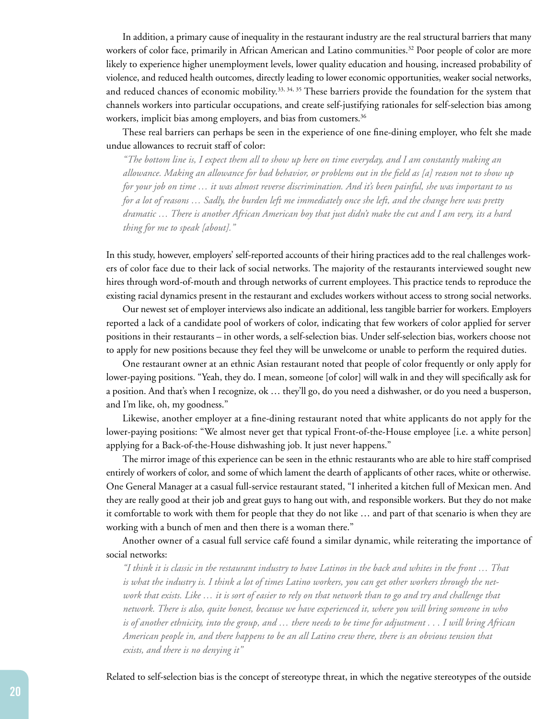In addition, a primary cause of inequality in the restaurant industry are the real structural barriers that many workers of color face, primarily in African American and Latino communities.<sup>32</sup> Poor people of color are more likely to experience higher unemployment levels, lower quality education and housing, increased probability of violence, and reduced health outcomes, directly leading to lower economic opportunities, weaker social networks, and reduced chances of economic mobility.<sup>33, 34, 35</sup> These barriers provide the foundation for the system that channels workers into particular occupations, and create self-justifying rationales for self-selection bias among workers, implicit bias among employers, and bias from customers.<sup>36</sup>

These real barriers can perhaps be seen in the experience of one fine-dining employer, who felt she made undue allowances to recruit staff of color:

*"The bottom line is, I expect them all to show up here on time everyday, and I am constantly making an allowance. Making an allowance for bad behavior, or problems out in the field as [a] reason not to show up for your job on time … it was almost reverse discrimination. And it's been painful, she was important to us for a lot of reasons … Sadly, the burden left me immediately once she left, and the change here was pretty dramatic … There is another African American boy that just didn't make the cut and I am very, its a hard thing for me to speak [about]."*

In this study, however, employers' self-reported accounts of their hiring practices add to the real challenges workers of color face due to their lack of social networks. The majority of the restaurants interviewed sought new hires through word-of-mouth and through networks of current employees. This practice tends to reproduce the existing racial dynamics present in the restaurant and excludes workers without access to strong social networks.

Our newest set of employer interviews also indicate an additional, less tangible barrier for workers. Employers reported a lack of a candidate pool of workers of color, indicating that few workers of color applied for server positions in their restaurants – in other words, a self-selection bias. Under self-selection bias, workers choose not to apply for new positions because they feel they will be unwelcome or unable to perform the required duties.

One restaurant owner at an ethnic Asian restaurant noted that people of color frequently or only apply for lower-paying positions. "Yeah, they do. I mean, someone [of color] will walk in and they will specifically ask for a position. And that's when I recognize, ok … they'll go, do you need a dishwasher, or do you need a busperson, and I'm like, oh, my goodness."

Likewise, another employer at a fine-dining restaurant noted that white applicants do not apply for the lower-paying positions: "We almost never get that typical Front-of-the-House employee [i.e. a white person] applying for a Back-of-the-House dishwashing job. It just never happens."

The mirror image of this experience can be seen in the ethnic restaurants who are able to hire staff comprised entirely of workers of color, and some of which lament the dearth of applicants of other races, white or otherwise. One General Manager at a casual full-service restaurant stated, "I inherited a kitchen full of Mexican men. And they are really good at their job and great guys to hang out with, and responsible workers. But they do not make it comfortable to work with them for people that they do not like … and part of that scenario is when they are working with a bunch of men and then there is a woman there."

Another owner of a casual full service café found a similar dynamic, while reiterating the importance of social networks:

*"I think it is classic in the restaurant industry to have Latinos in the back and whites in the front … That is what the industry is. I think a lot of times Latino workers, you can get other workers through the network that exists. Like … it is sort of easier to rely on that network than to go and try and challenge that network. There is also, quite honest, because we have experienced it, where you will bring someone in who is of another ethnicity, into the group, and … there needs to be time for adjustment . . . I will bring African American people in, and there happens to be an all Latino crew there, there is an obvious tension that exists, and there is no denying it"*

Related to self-selection bias is the concept of stereotype threat, in which the negative stereotypes of the outside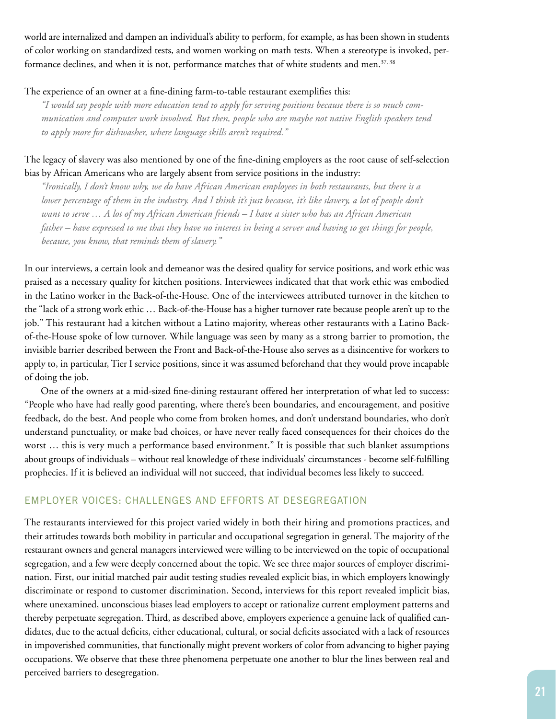world are internalized and dampen an individual's ability to perform, for example, as has been shown in students of color working on standardized tests, and women working on math tests. When a stereotype is invoked, performance declines, and when it is not, performance matches that of white students and men.<sup>37, 38</sup>

#### The experience of an owner at a fine-dining farm-to-table restaurant exemplifies this:

*"I would say people with more education tend to apply for serving positions because there is so much communication and computer work involved. But then, people who are maybe not native English speakers tend to apply more for dishwasher, where language skills aren't required."*

## The legacy of slavery was also mentioned by one of the fine-dining employers as the root cause of self-selection bias by African Americans who are largely absent from service positions in the industry:

*"Ironically, I don't know why, we do have African American employees in both restaurants, but there is a*  lower percentage of them in the industry. And I think it's just because, it's like slavery, a lot of people don't *want to serve … A lot of my African American friends – I have a sister who has an African American father – have expressed to me that they have no interest in being a server and having to get things for people, because, you know, that reminds them of slavery."*

In our interviews, a certain look and demeanor was the desired quality for service positions, and work ethic was praised as a necessary quality for kitchen positions. Interviewees indicated that that work ethic was embodied in the Latino worker in the Back-of-the-House. One of the interviewees attributed turnover in the kitchen to the "lack of a strong work ethic … Back-of-the-House has a higher turnover rate because people aren't up to the job." This restaurant had a kitchen without a Latino majority, whereas other restaurants with a Latino Backof-the-House spoke of low turnover. While language was seen by many as a strong barrier to promotion, the invisible barrier described between the Front and Back-of-the-House also serves as a disincentive for workers to apply to, in particular, Tier I service positions, since it was assumed beforehand that they would prove incapable of doing the job.

One of the owners at a mid-sized fine-dining restaurant offered her interpretation of what led to success: "People who have had really good parenting, where there's been boundaries, and encouragement, and positive feedback, do the best. And people who come from broken homes, and don't understand boundaries, who don't understand punctuality, or make bad choices, or have never really faced consequences for their choices do the worst … this is very much a performance based environment." It is possible that such blanket assumptions about groups of individuals – without real knowledge of these individuals' circumstances - become self-fulfilling prophecies. If it is believed an individual will not succeed, that individual becomes less likely to succeed.

## EMPLOYER VOICES: CHALLENGES AND EFFORTS AT DESEGREGATION

The restaurants interviewed for this project varied widely in both their hiring and promotions practices, and their attitudes towards both mobility in particular and occupational segregation in general. The majority of the restaurant owners and general managers interviewed were willing to be interviewed on the topic of occupational segregation, and a few were deeply concerned about the topic. We see three major sources of employer discrimination. First, our initial matched pair audit testing studies revealed explicit bias, in which employers knowingly discriminate or respond to customer discrimination. Second, interviews for this report revealed implicit bias, where unexamined, unconscious biases lead employers to accept or rationalize current employment patterns and thereby perpetuate segregation. Third, as described above, employers experience a genuine lack of qualified candidates, due to the actual deficits, either educational, cultural, or social deficits associated with a lack of resources in impoverished communities, that functionally might prevent workers of color from advancing to higher paying occupations. We observe that these three phenomena perpetuate one another to blur the lines between real and perceived barriers to desegregation.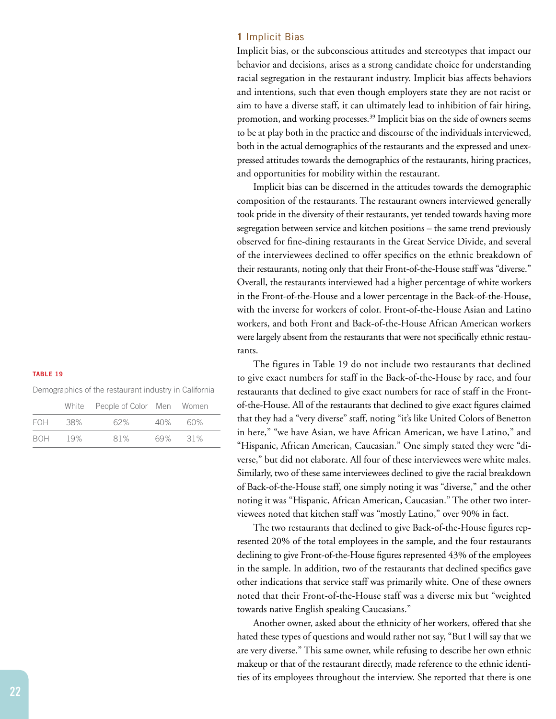#### **TABLE 19**

| Demographics of the restaurant industry in California |  |  |  |  |  |
|-------------------------------------------------------|--|--|--|--|--|
|-------------------------------------------------------|--|--|--|--|--|

|            |      | White People of Color Men Women |     |     |
|------------|------|---------------------------------|-----|-----|
| <b>FOH</b> | .38% | 62%                             | 40% | 60% |
| <b>BOH</b> | 19%  | 81%                             | 69% | 31% |

#### **1** Implicit Bias

Implicit bias, or the subconscious attitudes and stereotypes that impact our behavior and decisions, arises as a strong candidate choice for understanding racial segregation in the restaurant industry. Implicit bias affects behaviors and intentions, such that even though employers state they are not racist or aim to have a diverse staff, it can ultimately lead to inhibition of fair hiring, promotion, and working processes.<sup>39</sup> Implicit bias on the side of owners seems to be at play both in the practice and discourse of the individuals interviewed, both in the actual demographics of the restaurants and the expressed and unexpressed attitudes towards the demographics of the restaurants, hiring practices, and opportunities for mobility within the restaurant.

Implicit bias can be discerned in the attitudes towards the demographic composition of the restaurants. The restaurant owners interviewed generally took pride in the diversity of their restaurants, yet tended towards having more segregation between service and kitchen positions – the same trend previously observed for fine-dining restaurants in the Great Service Divide, and several of the interviewees declined to offer specifics on the ethnic breakdown of their restaurants, noting only that their Front-of-the-House staff was "diverse." Overall, the restaurants interviewed had a higher percentage of white workers in the Front-of-the-House and a lower percentage in the Back-of-the-House, with the inverse for workers of color. Front-of-the-House Asian and Latino workers, and both Front and Back-of-the-House African American workers were largely absent from the restaurants that were not specifically ethnic restaurants.

The figures in Table 19 do not include two restaurants that declined to give exact numbers for staff in the Back-of-the-House by race, and four restaurants that declined to give exact numbers for race of staff in the Frontof-the-House. All of the restaurants that declined to give exact figures claimed that they had a "very diverse" staff, noting "it's like United Colors of Benetton in here," "we have Asian, we have African American, we have Latino," and "Hispanic, African American, Caucasian." One simply stated they were "diverse," but did not elaborate. All four of these interviewees were white males. Similarly, two of these same interviewees declined to give the racial breakdown of Back-of-the-House staff, one simply noting it was "diverse," and the other noting it was "Hispanic, African American, Caucasian." The other two interviewees noted that kitchen staff was "mostly Latino," over 90% in fact.

The two restaurants that declined to give Back-of-the-House figures represented 20% of the total employees in the sample, and the four restaurants declining to give Front-of-the-House figures represented 43% of the employees in the sample. In addition, two of the restaurants that declined specifics gave other indications that service staff was primarily white. One of these owners noted that their Front-of-the-House staff was a diverse mix but "weighted towards native English speaking Caucasians."

Another owner, asked about the ethnicity of her workers, offered that she hated these types of questions and would rather not say, "But I will say that we are very diverse." This same owner, while refusing to describe her own ethnic makeup or that of the restaurant directly, made reference to the ethnic identities of its employees throughout the interview. She reported that there is one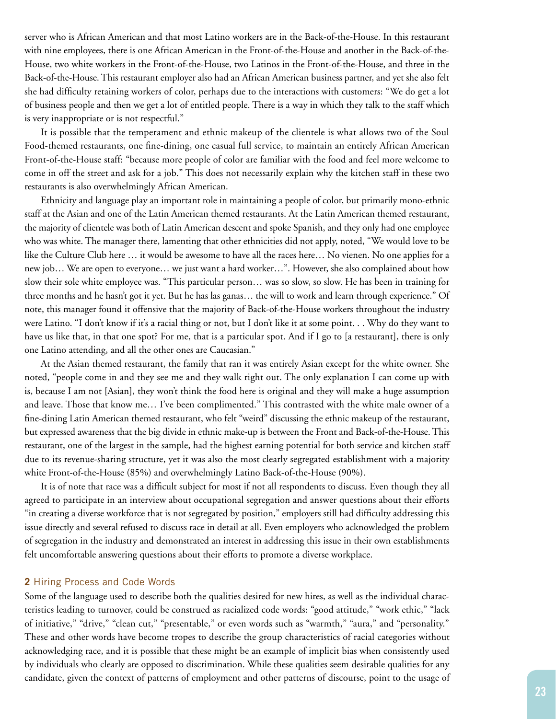server who is African American and that most Latino workers are in the Back-of-the-House. In this restaurant with nine employees, there is one African American in the Front-of-the-House and another in the Back-of-the-House, two white workers in the Front-of-the-House, two Latinos in the Front-of-the-House, and three in the Back-of-the-House. This restaurant employer also had an African American business partner, and yet she also felt she had difficulty retaining workers of color, perhaps due to the interactions with customers: "We do get a lot of business people and then we get a lot of entitled people. There is a way in which they talk to the staff which is very inappropriate or is not respectful."

It is possible that the temperament and ethnic makeup of the clientele is what allows two of the Soul Food-themed restaurants, one fine-dining, one casual full service, to maintain an entirely African American Front-of-the-House staff: "because more people of color are familiar with the food and feel more welcome to come in off the street and ask for a job." This does not necessarily explain why the kitchen staff in these two restaurants is also overwhelmingly African American.

Ethnicity and language play an important role in maintaining a people of color, but primarily mono-ethnic staff at the Asian and one of the Latin American themed restaurants. At the Latin American themed restaurant, the majority of clientele was both of Latin American descent and spoke Spanish, and they only had one employee who was white. The manager there, lamenting that other ethnicities did not apply, noted, "We would love to be like the Culture Club here … it would be awesome to have all the races here… No vienen. No one applies for a new job… We are open to everyone… we just want a hard worker…". However, she also complained about how slow their sole white employee was. "This particular person… was so slow, so slow. He has been in training for three months and he hasn't got it yet. But he has las ganas… the will to work and learn through experience." Of note, this manager found it offensive that the majority of Back-of-the-House workers throughout the industry were Latino. "I don't know if it's a racial thing or not, but I don't like it at some point. . . Why do they want to have us like that, in that one spot? For me, that is a particular spot. And if I go to [a restaurant], there is only one Latino attending, and all the other ones are Caucasian."

At the Asian themed restaurant, the family that ran it was entirely Asian except for the white owner. She noted, "people come in and they see me and they walk right out. The only explanation I can come up with is, because I am not [Asian], they won't think the food here is original and they will make a huge assumption and leave. Those that know me… I've been complimented." This contrasted with the white male owner of a fine-dining Latin American themed restaurant, who felt "weird" discussing the ethnic makeup of the restaurant, but expressed awareness that the big divide in ethnic make-up is between the Front and Back-of-the-House. This restaurant, one of the largest in the sample, had the highest earning potential for both service and kitchen staff due to its revenue-sharing structure, yet it was also the most clearly segregated establishment with a majority white Front-of-the-House (85%) and overwhelmingly Latino Back-of-the-House (90%).

It is of note that race was a difficult subject for most if not all respondents to discuss. Even though they all agreed to participate in an interview about occupational segregation and answer questions about their efforts "in creating a diverse workforce that is not segregated by position," employers still had difficulty addressing this issue directly and several refused to discuss race in detail at all. Even employers who acknowledged the problem of segregation in the industry and demonstrated an interest in addressing this issue in their own establishments felt uncomfortable answering questions about their efforts to promote a diverse workplace.

#### **2** Hiring Process and Code Words

Some of the language used to describe both the qualities desired for new hires, as well as the individual characteristics leading to turnover, could be construed as racialized code words: "good attitude," "work ethic," "lack of initiative," "drive," "clean cut," "presentable," or even words such as "warmth," "aura," and "personality." These and other words have become tropes to describe the group characteristics of racial categories without acknowledging race, and it is possible that these might be an example of implicit bias when consistently used by individuals who clearly are opposed to discrimination. While these qualities seem desirable qualities for any candidate, given the context of patterns of employment and other patterns of discourse, point to the usage of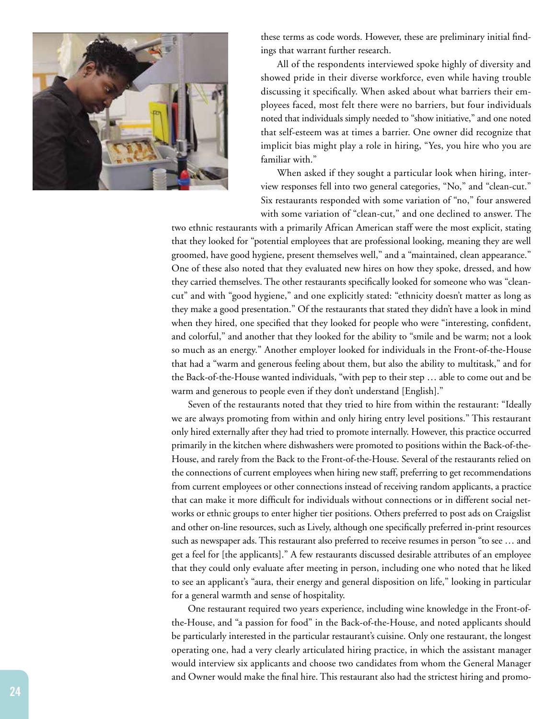

these terms as code words. However, these are preliminary initial findings that warrant further research.

All of the respondents interviewed spoke highly of diversity and showed pride in their diverse workforce, even while having trouble discussing it specifically. When asked about what barriers their employees faced, most felt there were no barriers, but four individuals noted that individuals simply needed to "show initiative," and one noted that self-esteem was at times a barrier. One owner did recognize that implicit bias might play a role in hiring, "Yes, you hire who you are familiar with."

When asked if they sought a particular look when hiring, interview responses fell into two general categories, "No," and "clean-cut." Six restaurants responded with some variation of "no," four answered with some variation of "clean-cut," and one declined to answer. The

two ethnic restaurants with a primarily African American staff were the most explicit, stating that they looked for "potential employees that are professional looking, meaning they are well groomed, have good hygiene, present themselves well," and a "maintained, clean appearance." One of these also noted that they evaluated new hires on how they spoke, dressed, and how they carried themselves. The other restaurants specifically looked for someone who was "cleancut" and with "good hygiene," and one explicitly stated: "ethnicity doesn't matter as long as they make a good presentation." Of the restaurants that stated they didn't have a look in mind when they hired, one specified that they looked for people who were "interesting, confident, and colorful," and another that they looked for the ability to "smile and be warm; not a look so much as an energy." Another employer looked for individuals in the Front-of-the-House that had a "warm and generous feeling about them, but also the ability to multitask," and for the Back-of-the-House wanted individuals, "with pep to their step … able to come out and be warm and generous to people even if they don't understand [English]."

Seven of the restaurants noted that they tried to hire from within the restaurant: "Ideally we are always promoting from within and only hiring entry level positions." This restaurant only hired externally after they had tried to promote internally. However, this practice occurred primarily in the kitchen where dishwashers were promoted to positions within the Back-of-the-House, and rarely from the Back to the Front-of-the-House. Several of the restaurants relied on the connections of current employees when hiring new staff, preferring to get recommendations from current employees or other connections instead of receiving random applicants, a practice that can make it more difficult for individuals without connections or in different social networks or ethnic groups to enter higher tier positions. Others preferred to post ads on Craigslist and other on-line resources, such as Lively, although one specifically preferred in-print resources such as newspaper ads. This restaurant also preferred to receive resumes in person "to see … and get a feel for [the applicants]." A few restaurants discussed desirable attributes of an employee that they could only evaluate after meeting in person, including one who noted that he liked to see an applicant's "aura, their energy and general disposition on life," looking in particular for a general warmth and sense of hospitality.

One restaurant required two years experience, including wine knowledge in the Front-ofthe-House, and "a passion for food" in the Back-of-the-House, and noted applicants should be particularly interested in the particular restaurant's cuisine. Only one restaurant, the longest operating one, had a very clearly articulated hiring practice, in which the assistant manager would interview six applicants and choose two candidates from whom the General Manager and Owner would make the final hire. This restaurant also had the strictest hiring and promo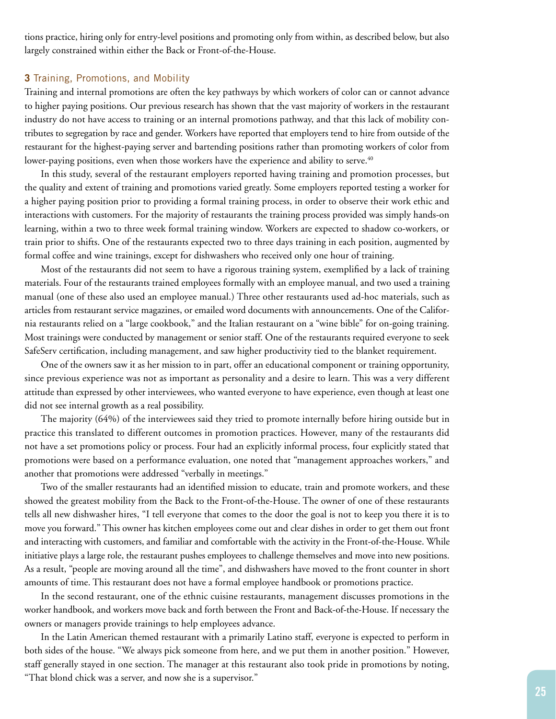tions practice, hiring only for entry-level positions and promoting only from within, as described below, but also largely constrained within either the Back or Front-of-the-House.

#### **3** Training, Promotions, and Mobility

Training and internal promotions are often the key pathways by which workers of color can or cannot advance to higher paying positions. Our previous research has shown that the vast majority of workers in the restaurant industry do not have access to training or an internal promotions pathway, and that this lack of mobility contributes to segregation by race and gender. Workers have reported that employers tend to hire from outside of the restaurant for the highest-paying server and bartending positions rather than promoting workers of color from lower-paying positions, even when those workers have the experience and ability to serve.<sup>40</sup>

In this study, several of the restaurant employers reported having training and promotion processes, but the quality and extent of training and promotions varied greatly. Some employers reported testing a worker for a higher paying position prior to providing a formal training process, in order to observe their work ethic and interactions with customers. For the majority of restaurants the training process provided was simply hands-on learning, within a two to three week formal training window. Workers are expected to shadow co-workers, or train prior to shifts. One of the restaurants expected two to three days training in each position, augmented by formal coffee and wine trainings, except for dishwashers who received only one hour of training.

Most of the restaurants did not seem to have a rigorous training system, exemplified by a lack of training materials. Four of the restaurants trained employees formally with an employee manual, and two used a training manual (one of these also used an employee manual.) Three other restaurants used ad-hoc materials, such as articles from restaurant service magazines, or emailed word documents with announcements. One of the California restaurants relied on a "large cookbook," and the Italian restaurant on a "wine bible" for on-going training. Most trainings were conducted by management or senior staff. One of the restaurants required everyone to seek SafeServ certification, including management, and saw higher productivity tied to the blanket requirement.

One of the owners saw it as her mission to in part, offer an educational component or training opportunity, since previous experience was not as important as personality and a desire to learn. This was a very different attitude than expressed by other interviewees, who wanted everyone to have experience, even though at least one did not see internal growth as a real possibility.

The majority (64%) of the interviewees said they tried to promote internally before hiring outside but in practice this translated to different outcomes in promotion practices. However, many of the restaurants did not have a set promotions policy or process. Four had an explicitly informal process, four explicitly stated that promotions were based on a performance evaluation, one noted that "management approaches workers," and another that promotions were addressed "verbally in meetings."

Two of the smaller restaurants had an identified mission to educate, train and promote workers, and these showed the greatest mobility from the Back to the Front-of-the-House. The owner of one of these restaurants tells all new dishwasher hires, "I tell everyone that comes to the door the goal is not to keep you there it is to move you forward." This owner has kitchen employees come out and clear dishes in order to get them out front and interacting with customers, and familiar and comfortable with the activity in the Front-of-the-House. While initiative plays a large role, the restaurant pushes employees to challenge themselves and move into new positions. As a result, "people are moving around all the time", and dishwashers have moved to the front counter in short amounts of time. This restaurant does not have a formal employee handbook or promotions practice.

In the second restaurant, one of the ethnic cuisine restaurants, management discusses promotions in the worker handbook, and workers move back and forth between the Front and Back-of-the-House. If necessary the owners or managers provide trainings to help employees advance.

In the Latin American themed restaurant with a primarily Latino staff, everyone is expected to perform in both sides of the house. "We always pick someone from here, and we put them in another position." However, staff generally stayed in one section. The manager at this restaurant also took pride in promotions by noting, "That blond chick was a server, and now she is a supervisor."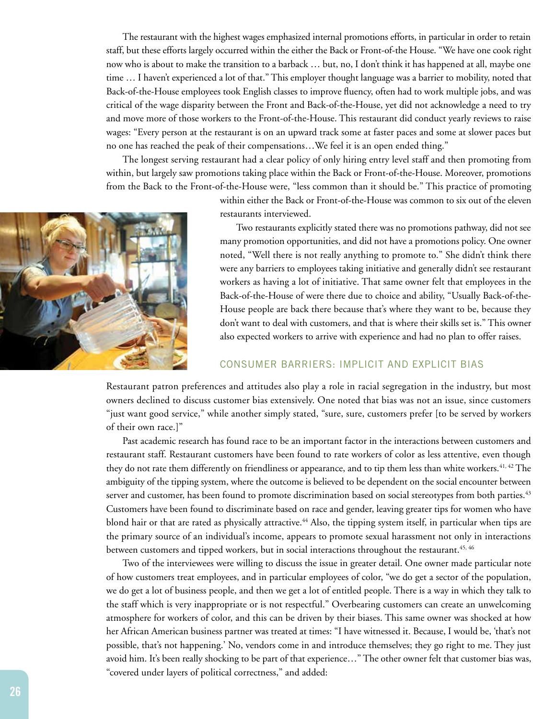The restaurant with the highest wages emphasized internal promotions efforts, in particular in order to retain staff, but these efforts largely occurred within the either the Back or Front-of-the House. "We have one cook right now who is about to make the transition to a barback … but, no, I don't think it has happened at all, maybe one time … I haven't experienced a lot of that." This employer thought language was a barrier to mobility, noted that Back-of-the-House employees took English classes to improve fluency, often had to work multiple jobs, and was critical of the wage disparity between the Front and Back-of-the-House, yet did not acknowledge a need to try and move more of those workers to the Front-of-the-House. This restaurant did conduct yearly reviews to raise wages: "Every person at the restaurant is on an upward track some at faster paces and some at slower paces but no one has reached the peak of their compensations…We feel it is an open ended thing."

The longest serving restaurant had a clear policy of only hiring entry level staff and then promoting from within, but largely saw promotions taking place within the Back or Front-of-the-House. Moreover, promotions from the Back to the Front-of-the-House were, "less common than it should be." This practice of promoting



within either the Back or Front-of-the-House was common to six out of the eleven restaurants interviewed.

Two restaurants explicitly stated there was no promotions pathway, did not see many promotion opportunities, and did not have a promotions policy. One owner noted, "Well there is not really anything to promote to." She didn't think there were any barriers to employees taking initiative and generally didn't see restaurant workers as having a lot of initiative. That same owner felt that employees in the Back-of-the-House of were there due to choice and ability, "Usually Back-of-the-House people are back there because that's where they want to be, because they don't want to deal with customers, and that is where their skills set is." This owner also expected workers to arrive with experience and had no plan to offer raises.

#### CONSUMER BARRIERS: IMPLICIT AND EXPLICIT BIAS

Restaurant patron preferences and attitudes also play a role in racial segregation in the industry, but most owners declined to discuss customer bias extensively. One noted that bias was not an issue, since customers "just want good service," while another simply stated, "sure, sure, customers prefer [to be served by workers of their own race.]"

Past academic research has found race to be an important factor in the interactions between customers and restaurant staff. Restaurant customers have been found to rate workers of color as less attentive, even though they do not rate them differently on friendliness or appearance, and to tip them less than white workers.<sup>41, 42</sup> The ambiguity of the tipping system, where the outcome is believed to be dependent on the social encounter between server and customer, has been found to promote discrimination based on social stereotypes from both parties.<sup>43</sup> Customers have been found to discriminate based on race and gender, leaving greater tips for women who have blond hair or that are rated as physically attractive.<sup>44</sup> Also, the tipping system itself, in particular when tips are the primary source of an individual's income, appears to promote sexual harassment not only in interactions between customers and tipped workers, but in social interactions throughout the restaurant.<sup>45, 46</sup>

Two of the interviewees were willing to discuss the issue in greater detail. One owner made particular note of how customers treat employees, and in particular employees of color, "we do get a sector of the population, we do get a lot of business people, and then we get a lot of entitled people. There is a way in which they talk to the staff which is very inappropriate or is not respectful." Overbearing customers can create an unwelcoming atmosphere for workers of color, and this can be driven by their biases. This same owner was shocked at how her African American business partner was treated at times: "I have witnessed it. Because, I would be, 'that's not possible, that's not happening.' No, vendors come in and introduce themselves; they go right to me. They just avoid him. It's been really shocking to be part of that experience…" The other owner felt that customer bias was, "covered under layers of political correctness," and added: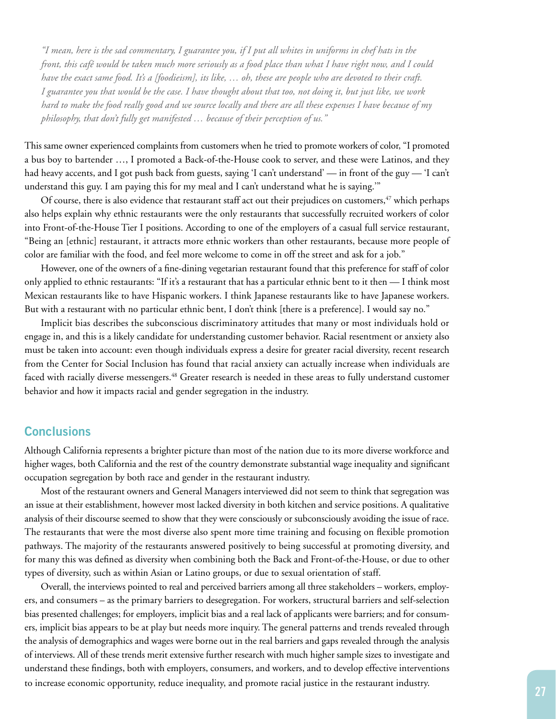*"I mean, here is the sad commentary, I guarantee you, if I put all whites in uniforms in chef hats in the front, this café would be taken much more seriously as a food place than what I have right now, and I could have the exact same food. It's a [foodieism], its like, … oh, these are people who are devoted to their craft. I guarantee you that would be the case. I have thought about that too, not doing it, but just like, we work hard to make the food really good and we source locally and there are all these expenses I have because of my philosophy, that don't fully get manifested … because of their perception of us."*

This same owner experienced complaints from customers when he tried to promote workers of color, "I promoted a bus boy to bartender …, I promoted a Back-of-the-House cook to server, and these were Latinos, and they had heavy accents, and I got push back from guests, saying 'I can't understand' — in front of the guy — 'I can't understand this guy. I am paying this for my meal and I can't understand what he is saying.'"

Of course, there is also evidence that restaurant staff act out their prejudices on customers,<sup>47</sup> which perhaps also helps explain why ethnic restaurants were the only restaurants that successfully recruited workers of color into Front-of-the-House Tier I positions. According to one of the employers of a casual full service restaurant, "Being an [ethnic] restaurant, it attracts more ethnic workers than other restaurants, because more people of color are familiar with the food, and feel more welcome to come in off the street and ask for a job."

However, one of the owners of a fine-dining vegetarian restaurant found that this preference for staff of color only applied to ethnic restaurants: "If it's a restaurant that has a particular ethnic bent to it then — I think most Mexican restaurants like to have Hispanic workers. I think Japanese restaurants like to have Japanese workers. But with a restaurant with no particular ethnic bent, I don't think [there is a preference]. I would say no."

Implicit bias describes the subconscious discriminatory attitudes that many or most individuals hold or engage in, and this is a likely candidate for understanding customer behavior. Racial resentment or anxiety also must be taken into account: even though individuals express a desire for greater racial diversity, recent research from the Center for Social Inclusion has found that racial anxiety can actually increase when individuals are faced with racially diverse messengers.<sup>48</sup> Greater research is needed in these areas to fully understand customer behavior and how it impacts racial and gender segregation in the industry.

## **Conclusions**

Although California represents a brighter picture than most of the nation due to its more diverse workforce and higher wages, both California and the rest of the country demonstrate substantial wage inequality and significant occupation segregation by both race and gender in the restaurant industry.

Most of the restaurant owners and General Managers interviewed did not seem to think that segregation was an issue at their establishment, however most lacked diversity in both kitchen and service positions. A qualitative analysis of their discourse seemed to show that they were consciously or subconsciously avoiding the issue of race. The restaurants that were the most diverse also spent more time training and focusing on flexible promotion pathways. The majority of the restaurants answered positively to being successful at promoting diversity, and for many this was defined as diversity when combining both the Back and Front-of-the-House, or due to other types of diversity, such as within Asian or Latino groups, or due to sexual orientation of staff.

Overall, the interviews pointed to real and perceived barriers among all three stakeholders – workers, employers, and consumers – as the primary barriers to desegregation. For workers, structural barriers and self-selection bias presented challenges; for employers, implicit bias and a real lack of applicants were barriers; and for consumers, implicit bias appears to be at play but needs more inquiry. The general patterns and trends revealed through the analysis of demographics and wages were borne out in the real barriers and gaps revealed through the analysis of interviews. All of these trends merit extensive further research with much higher sample sizes to investigate and understand these findings, both with employers, consumers, and workers, and to develop effective interventions to increase economic opportunity, reduce inequality, and promote racial justice in the restaurant industry.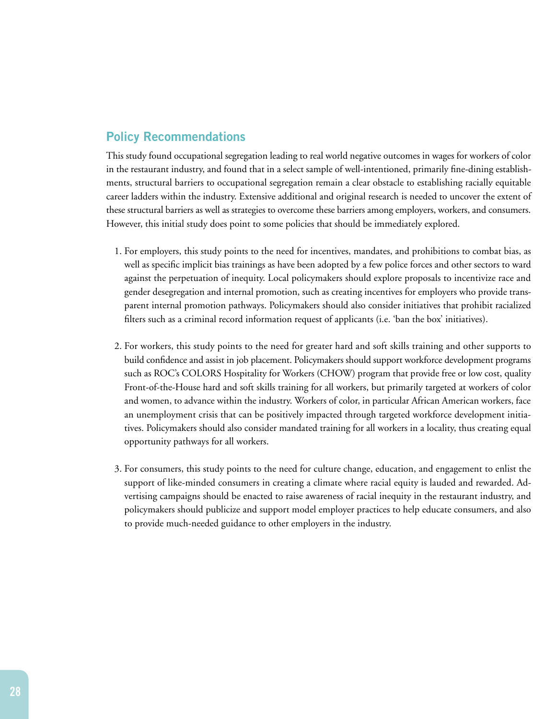## **Policy Recommendations**

This study found occupational segregation leading to real world negative outcomes in wages for workers of color in the restaurant industry, and found that in a select sample of well-intentioned, primarily fine-dining establishments, structural barriers to occupational segregation remain a clear obstacle to establishing racially equitable career ladders within the industry. Extensive additional and original research is needed to uncover the extent of these structural barriers as well as strategies to overcome these barriers among employers, workers, and consumers. However, this initial study does point to some policies that should be immediately explored.

- 1. For employers, this study points to the need for incentives, mandates, and prohibitions to combat bias, as well as specific implicit bias trainings as have been adopted by a few police forces and other sectors to ward against the perpetuation of inequity. Local policymakers should explore proposals to incentivize race and gender desegregation and internal promotion, such as creating incentives for employers who provide transparent internal promotion pathways. Policymakers should also consider initiatives that prohibit racialized filters such as a criminal record information request of applicants (i.e. 'ban the box' initiatives).
- 2. For workers, this study points to the need for greater hard and soft skills training and other supports to build confidence and assist in job placement. Policymakers should support workforce development programs such as ROC's COLORS Hospitality for Workers (CHOW) program that provide free or low cost, quality Front-of-the-House hard and soft skills training for all workers, but primarily targeted at workers of color and women, to advance within the industry. Workers of color, in particular African American workers, face an unemployment crisis that can be positively impacted through targeted workforce development initiatives. Policymakers should also consider mandated training for all workers in a locality, thus creating equal opportunity pathways for all workers.
- 3. For consumers, this study points to the need for culture change, education, and engagement to enlist the support of like-minded consumers in creating a climate where racial equity is lauded and rewarded. Advertising campaigns should be enacted to raise awareness of racial inequity in the restaurant industry, and policymakers should publicize and support model employer practices to help educate consumers, and also to provide much-needed guidance to other employers in the industry.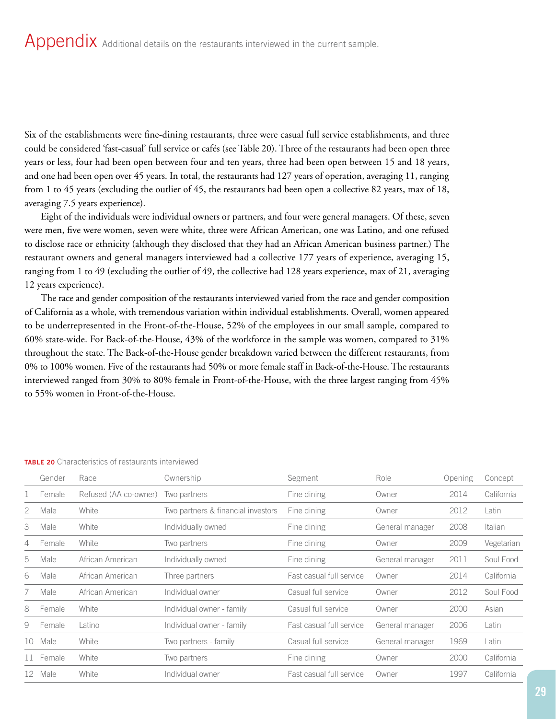Six of the establishments were fine-dining restaurants, three were casual full service establishments, and three could be considered 'fast-casual' full service or cafés (see Table 20). Three of the restaurants had been open three years or less, four had been open between four and ten years, three had been open between 15 and 18 years, and one had been open over 45 years. In total, the restaurants had 127 years of operation, averaging 11, ranging from 1 to 45 years (excluding the outlier of 45, the restaurants had been open a collective 82 years, max of 18, averaging 7.5 years experience).

Eight of the individuals were individual owners or partners, and four were general managers. Of these, seven were men, five were women, seven were white, three were African American, one was Latino, and one refused to disclose race or ethnicity (although they disclosed that they had an African American business partner.) The restaurant owners and general managers interviewed had a collective 177 years of experience, averaging 15, ranging from 1 to 49 (excluding the outlier of 49, the collective had 128 years experience, max of 21, averaging 12 years experience).

The race and gender composition of the restaurants interviewed varied from the race and gender composition of California as a whole, with tremendous variation within individual establishments. Overall, women appeared to be underrepresented in the Front-of-the-House, 52% of the employees in our small sample, compared to 60% state-wide. For Back-of-the-House, 43% of the workforce in the sample was women, compared to 31% throughout the state. The Back-of-the-House gender breakdown varied between the different restaurants, from 0% to 100% women. Five of the restaurants had 50% or more female staff in Back-of-the-House. The restaurants interviewed ranged from 30% to 80% female in Front-of-the-House, with the three largest ranging from 45% to 55% women in Front-of-the-House.

|    | Gender | Race                  | Ownership                          | Segment                  | Role            | Opening | Concept    |
|----|--------|-----------------------|------------------------------------|--------------------------|-----------------|---------|------------|
|    | Female | Refused (AA co-owner) | Two partners                       | Fine dining              | Owner           | 2014    | California |
| 2  | Male   | White                 | Two partners & financial investors | Fine dining              | Owner           | 2012    | Latin      |
| 3  | Male   | White                 | Individually owned                 | Fine dining              | General manager | 2008    | Italian    |
| 4  | Female | White                 | Two partners                       | Fine dining              | Owner           | 2009    | Vegetarian |
| 5  | Male   | African American      | Individually owned                 | Fine dining              | General manager | 2011    | Soul Food  |
| 6  | Male   | African American      | Three partners                     | Fast casual full service | Owner           | 2014    | California |
|    | Male   | African American      | Individual owner                   | Casual full service      | Owner           | 2012    | Soul Food  |
| 8  | Female | White                 | Individual owner - family          | Casual full service      | Owner           | 2000    | Asian      |
| 9  | Female | Latino                | Individual owner - family          | Fast casual full service | General manager | 2006    | Latin      |
| 10 | Male   | White                 | Two partners - family              | Casual full service      | General manager | 1969    | Latin      |
|    | Female | White                 | Two partners                       | Fine dining              | Owner           | 2000    | California |
| 12 | Male   | White                 | Individual owner                   | Fast casual full service | Owner           | 1997    | California |

#### **TABLE 20** Characteristics of restaurants interviewed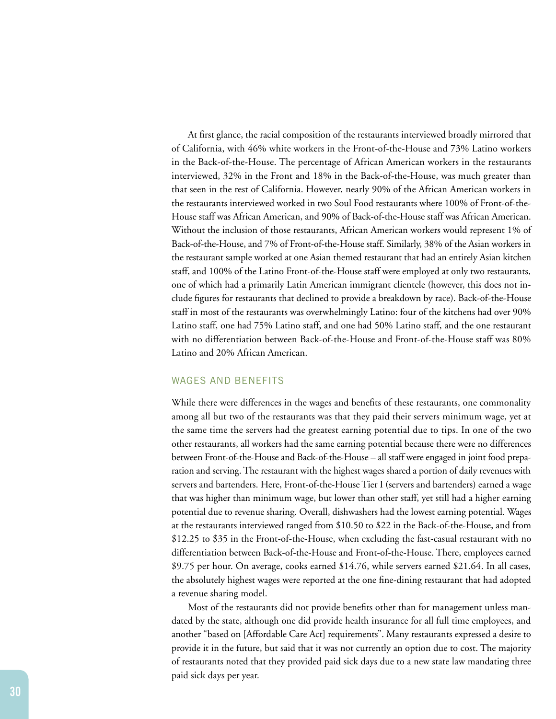At first glance, the racial composition of the restaurants interviewed broadly mirrored that of California, with 46% white workers in the Front-of-the-House and 73% Latino workers in the Back-of-the-House. The percentage of African American workers in the restaurants interviewed, 32% in the Front and 18% in the Back-of-the-House, was much greater than that seen in the rest of California. However, nearly 90% of the African American workers in the restaurants interviewed worked in two Soul Food restaurants where 100% of Front-of-the-House staff was African American, and 90% of Back-of-the-House staff was African American. Without the inclusion of those restaurants, African American workers would represent 1% of Back-of-the-House, and 7% of Front-of-the-House staff. Similarly, 38% of the Asian workers in the restaurant sample worked at one Asian themed restaurant that had an entirely Asian kitchen staff, and 100% of the Latino Front-of-the-House staff were employed at only two restaurants, one of which had a primarily Latin American immigrant clientele (however, this does not include figures for restaurants that declined to provide a breakdown by race). Back-of-the-House staff in most of the restaurants was overwhelmingly Latino: four of the kitchens had over 90% Latino staff, one had 75% Latino staff, and one had 50% Latino staff, and the one restaurant with no differentiation between Back-of-the-House and Front-of-the-House staff was 80% Latino and 20% African American.

#### WAGES AND BENEFITS

While there were differences in the wages and benefits of these restaurants, one commonality among all but two of the restaurants was that they paid their servers minimum wage, yet at the same time the servers had the greatest earning potential due to tips. In one of the two other restaurants, all workers had the same earning potential because there were no differences between Front-of-the-House and Back-of-the-House – all staff were engaged in joint food preparation and serving. The restaurant with the highest wages shared a portion of daily revenues with servers and bartenders. Here, Front-of-the-House Tier I (servers and bartenders) earned a wage that was higher than minimum wage, but lower than other staff, yet still had a higher earning potential due to revenue sharing. Overall, dishwashers had the lowest earning potential. Wages at the restaurants interviewed ranged from \$10.50 to \$22 in the Back-of-the-House, and from \$12.25 to \$35 in the Front-of-the-House, when excluding the fast-casual restaurant with no differentiation between Back-of-the-House and Front-of-the-House. There, employees earned \$9.75 per hour. On average, cooks earned \$14.76, while servers earned \$21.64. In all cases, the absolutely highest wages were reported at the one fine-dining restaurant that had adopted a revenue sharing model.

Most of the restaurants did not provide benefits other than for management unless mandated by the state, although one did provide health insurance for all full time employees, and another "based on [Affordable Care Act] requirements". Many restaurants expressed a desire to provide it in the future, but said that it was not currently an option due to cost. The majority of restaurants noted that they provided paid sick days due to a new state law mandating three paid sick days per year.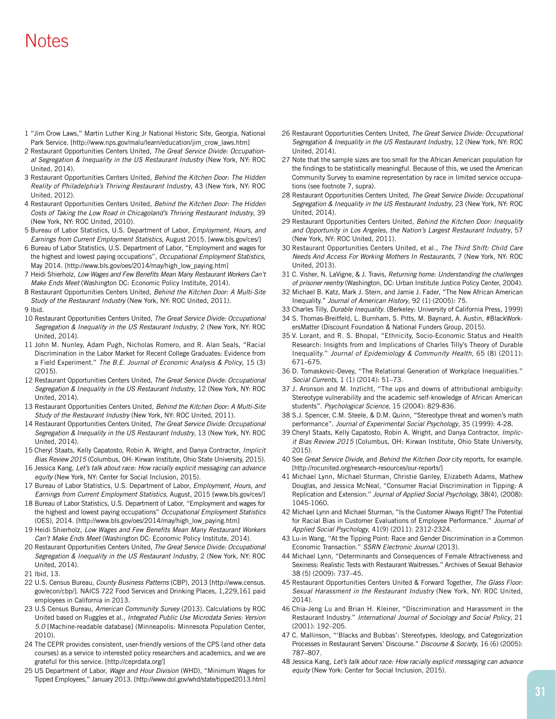## Notes

- 1 "Jim Crow Laws," Martin Luther King Jr National Historic Site, Georgia, National Park Service. [http://www.nps.gov/malu/learn/education/jim\_crow\_laws.htm]
- 2 Restaurant Opportunities Centers United, *The Great Service Divide: Occupational Segregation & Inequality in the US Restaurant Industry* (New York, NY: ROC United, 2014).
- 3 Restaurant Opportunities Centers United, *Behind the Kitchen Door: The Hidden Reality of Philadelphia's Thriving Restaurant Industry*, 43 (New York, NY: ROC United, 2012).
- 4 Restaurant Opportunities Centers United, *Behind the Kitchen Door: The Hidden Costs of Taking the Low Road in Chicagoland's Thriving Restaurant Industry*, 39 (New York, NY: ROC United, 2010).
- 5 Bureau of Labor Statistics, U.S. Department of Labor, *Employment, Hours, and Earnings from Current Employment Statistics*, August 2015. [www.bls.gov/ces/]
- 6 Bureau of Labor Statistics, U.S. Department of Labor, "Employment and wages for the highest and lowest paying occupations", *Occupational Employment Statistics*, May 2014. [http://www.bls.gov/oes/2014/may/high\_low\_paying.htm]
- 7 Heidi Shierholz, *Low Wages and Few Benefits Mean Many Restaurant Workers Can't Make Ends Meet* (Washington DC: Economic Policy Institute, 2014).
- 8 Restaurant Opportunities Centers United, *Behind the Kitchen Door: A Multi-Site Study of the Restaurant Industry* (New York, NY: ROC United, 2011).
- 9 Ibid.
- 10 Restaurant Opportunities Centers United, *The Great Service Divide: Occupational Segregation & Inequality in the US Restaurant Industry*, 2 (New York, NY: ROC United, 2014).
- 11 John M. Nunley, Adam Pugh, Nicholas Romero, and R. Alan Seals, "Racial Discrimination in the Labor Market for Recent College Graduates: Evidence from a Field Experiment." *The B.E. Journal of Economic Analysis & Policy*, 15 (3) (2015).
- 12 Restaurant Opportunities Centers United, *The Great Service Divide: Occupational Segregation & Inequality in the US Restaurant Industry*, 12 (New York, NY: ROC United, 2014).
- 13 Restaurant Opportunities Centers United, *Behind the Kitchen Door: A Multi-Site Study of the Restaurant Industry* (New York, NY: ROC United, 2011).
- 14 Restaurant Opportunities Centers United, *The Great Service Divide: Occupational Segregation & Inequality in the US Restaurant Industry*, 13 (New York, NY: ROC United, 2014).
- 15 Cheryl Staats, Kelly Capatosto, Robin A. Wright, and Danya Contractor, *Implicit Bias Review 2015* (Columbus, OH: Kirwan Institute, Ohio State University, 2015).
- 16 Jessica Kang, *Let's talk about race: How racially explicit messaging can advance equity* (New York, NY: Center for Social Inclusion, 2015).
- 17 Bureau of Labor Statistics, U.S. Department of Labor, *Employment, Hours, and Earnings from Current Employment Statistics*, August, 2015 [www.bls.gov/ces/]
- 18 Bureau of Labor Statistics, U.S. Department of Labor, "Employment and wages for the highest and lowest paying occupations" *Occupational Employment Statistics* (OES), 2014. [http://www.bls.gov/oes/2014/may/high\_low\_paying.htm]
- 19 Heidi Shierholz, *Low Wages and Few Benefits Mean Many Restaurant Workers Can't Make Ends Meet* (Washington DC: Economic Policy Institute, 2014).
- 20 Restaurant Opportunities Centers United, *The Great Service Divide: Occupational Segregation & Inequality in the US Restaurant Industry*, 2 (New York, NY: ROC United, 2014).
- 21 Ibid, 13.
- 22 U.S. Census Bureau, *County Business Patterns* (CBP), 2013 [http://www.census. gov/econ/cbp/]. NAICS 722 Food Services and Drinking Places, 1,229,161 paid employees in California in 2013.
- 23 U.S Census Bureau, *American Community Survey* (2013). Calculations by ROC United based on Ruggles et al., *Integrated Public Use Microdata Series: Version 5.0* [Machine-readable database] (Minneapolis: Minnesota Population Center, 2010).
- 24 The CEPR provides consistent, user-friendly versions of the CPS (and other data courses) as a service to interested policy researchers and academics, and we are grateful for this service. [http://ceprdata.org/]
- 25 US Department of Labor, *Wage and Hour Division* (WHD), "Minimum Wages for Tipped Employees," January 2013. [http://www.dol.gov/whd/state/tipped2013.htm]
- 26 Restaurant Opportunities Centers United, *The Great Service Divide: Occupational Segregation & Inequality in the US Restaurant Industry*, 12 (New York, NY: ROC United, 2014).
- 27 Note that the sample sizes are too small for the African American population for the findings to be statistically meaningful. Because of this, we used the American Community Survey to examine representation by race in limited service occupations (see footnote 7, supra).
- 28 Restaurant Opportunities Centers United, *The Great Service Divide: Occupational Segregation & Inequality in the US Restaurant Industry*, 23 (New York, NY: ROC United, 2014).
- 29 Restaurant Opportunities Centers United, *Behind the Kitchen Door: Inequality and Opportunity in Los Angeles, the Nation's Largest Restaurant Industry*, 57 (New York, NY: ROC United, 2011).
- 30 Restaurant Opportunities Centers United, et al., *The Third Shift: Child Care Needs And Access For Working Mothers In Restaurants*, 7 (New York, NY: ROC United, 2013).
- 31 C. Visher, N. LaVigne, & J. Travis, *Returning home: Understanding the challenges of prisoner reentry* (Washington, DC: Urban Institute Justice Policy Center, 2004).
- 32 Michael B. Katz, Mark J. Stern, and Jamie J. Fader, "The New African American Inequality." *Journal of American History*, 92 (1) (2005): 75.
- 33 Charles Tilly, *Durable Inequality*. (Berkeley: University of California Press, 1999)
- 34 S. Thomas-Breitfeld, L. Burnham, S. Pitts, M. Baynard, A. Austin, #BlackWorkersMatter (Discount Foundation & National Funders Group, 2015).
- 35 V. Lorant, and R. S. Bhopal, "Ethnicity, Socio-Economic Status and Health Research: Insights from and Implications of Charles Tilly's Theory of Durable Inequality." *Journal of Epidemiology & Community Health*, 65 (8) (2011): 671–675.
- 36 D. Tomaskovic-Devey, "The Relational Generation of Workplace Inequalities." *Social Currents*, 1 (1) (2014): 51–73.
- 37 J. Aronson and M. Inzlicht, "The ups and downs of attributional ambiguity: Stereotype vulnerability and the academic self-knowledge of African American students". *Psychological Science*, 15 (2004): 829-836.
- 38 S.J. Spencer, C.M. Steele, & D.M. Quinn, "Stereotype threat and women's math performance". *Journal of Experimental Social Psychology*, 35 (1999): 4-28.
- 39 Cheryl Staats, Kelly Capatosto, Robin A. Wright, and Danya Contractor, *Implicit Bias Review 2015* (Columbus, OH: Kirwan Institute, Ohio State University, 2015).
- 40 See *Great Service Divide*, and *Behind the Kitchen Door* city reports, for example. [http://rocunited.org/research-resources/our-reports/]
- 41 Michael Lynn, Michael Sturman, Christie Ganley, Elizabeth Adams, Mathew Douglas, and Jessica McNeal, "Consumer Racial Discrimination in Tipping: A Replication and Extension." *Journal of Applied Social Psychology*, 38(4), (2008): 1045-1060.
- 42 Michael Lynn and Michael Sturman, "Is the Customer Always Right? The Potential for Racial Bias in Customer Evaluations of Employee Performance." *Journal of Applied Social Psychology*, 41(9) (2011): 2312-2324.
- 43 Lu-in Wang, "At the Tipping Point: Race and Gender Discrimination in a Common Economic Transaction." *SSRN Electronic Journal* (2013).
- 44 Michael Lynn, "Determinants and Consequences of Female Attractiveness and Sexiness: Realistic Tests with Restaurant Waitresses." Archives of Sexual Behavior 38 (5) (2009): 737–45.
- 45 Restaurant Opportunities Centers United & Forward Together, *The Glass Floor: Sexual Harassment in the Restaurant Industry* (New York, NY: ROC United, 2014).
- 46 Chia-Jeng Lu and Brian H. Kleiner, "Discrimination and Harassment in the Restaurant Industry." *International Journal of Sociology and Social Policy*, 21 (2001): 192–205.
- 47 C. Mallinson, "'Blacks and Bubbas': Stereotypes, Ideology, and Categorization Processes in Restaurant Servers' Discourse." *Discourse & Society*, 16 (6) (2005): 787–807.
- 48 Jessica Kang, *Let's talk about race: How racially explicit messaging can advance equity* (New York: Center for Social Inclusion, 2015).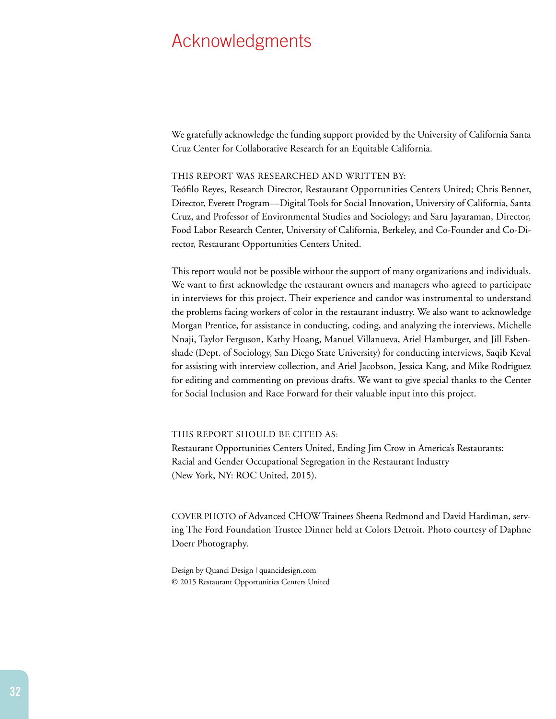## Acknowledgments

We gratefully acknowledge the funding support provided by the University of California Santa Cruz Center for Collaborative Research for an Equitable California.

#### THIS REPORT WAS RESEARCHED AND WRITTEN BY:

Teófilo Reyes, Research Director, Restaurant Opportunities Centers United; Chris Benner, Director, Everett Program—Digital Tools for Social Innovation, University of California, Santa Cruz, and Professor of Environmental Studies and Sociology; and Saru Jayaraman, Director, Food Labor Research Center, University of California, Berkeley, and Co-Founder and Co-Director, Restaurant Opportunities Centers United.

This report would not be possible without the support of many organizations and individuals. We want to first acknowledge the restaurant owners and managers who agreed to participate in interviews for this project. Their experience and candor was instrumental to understand the problems facing workers of color in the restaurant industry. We also want to acknowledge Morgan Prentice, for assistance in conducting, coding, and analyzing the interviews, Michelle Nnaji, Taylor Ferguson, Kathy Hoang, Manuel Villanueva, Ariel Hamburger, and Jill Esbenshade (Dept. of Sociology, San Diego State University) for conducting interviews, Saqib Keval for assisting with interview collection, and Ariel Jacobson, Jessica Kang, and Mike Rodriguez for editing and commenting on previous drafts. We want to give special thanks to the Center for Social Inclusion and Race Forward for their valuable input into this project.

THIS REPORT SHOULD BE CITED AS:

Restaurant Opportunities Centers United, Ending Jim Crow in America's Restaurants: Racial and Gender Occupational Segregation in the Restaurant Industry (New York, NY: ROC United, 2015).

COVER PHOTO of Advanced CHOW Trainees Sheena Redmond and David Hardiman, serving The Ford Foundation Trustee Dinner held at Colors Detroit. Photo courtesy of Daphne Doerr Photography.

Design by Quanci Design | quancidesign.com © 2015 Restaurant Opportunities Centers United